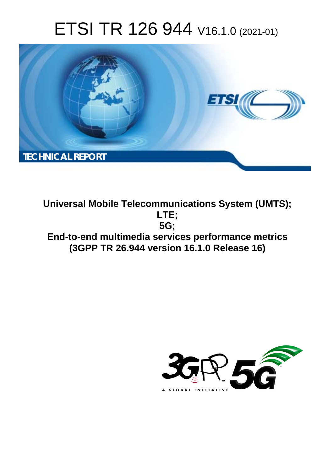# ETSI TR 126 944 V16.1.0 (2021-01)



**Universal Mobile Telecommunications System (UMTS); LTE; 5G; End-to-end multimedia services performance metrics (3GPP TR 26.944 version 16.1.0 Release 16)** 

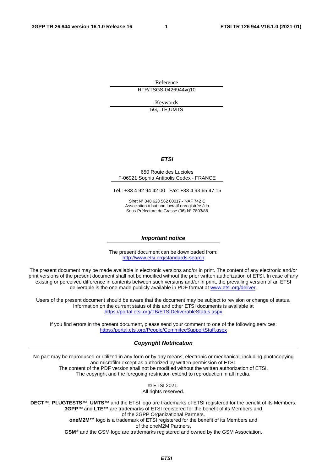Reference RTR/TSGS-0426944vg10

> Keywords 5G,LTE,UMTS

### *ETSI*

#### 650 Route des Lucioles F-06921 Sophia Antipolis Cedex - FRANCE

Tel.: +33 4 92 94 42 00 Fax: +33 4 93 65 47 16

Siret N° 348 623 562 00017 - NAF 742 C Association à but non lucratif enregistrée à la Sous-Préfecture de Grasse (06) N° 7803/88

#### *Important notice*

The present document can be downloaded from: <http://www.etsi.org/standards-search>

The present document may be made available in electronic versions and/or in print. The content of any electronic and/or print versions of the present document shall not be modified without the prior written authorization of ETSI. In case of any existing or perceived difference in contents between such versions and/or in print, the prevailing version of an ETSI deliverable is the one made publicly available in PDF format at [www.etsi.org/deliver](http://www.etsi.org/deliver).

Users of the present document should be aware that the document may be subject to revision or change of status. Information on the current status of this and other ETSI documents is available at <https://portal.etsi.org/TB/ETSIDeliverableStatus.aspx>

If you find errors in the present document, please send your comment to one of the following services: <https://portal.etsi.org/People/CommiteeSupportStaff.aspx>

#### *Copyright Notification*

No part may be reproduced or utilized in any form or by any means, electronic or mechanical, including photocopying and microfilm except as authorized by written permission of ETSI. The content of the PDF version shall not be modified without the written authorization of ETSI. The copyright and the foregoing restriction extend to reproduction in all media.

> © ETSI 2021. All rights reserved.

**DECT™**, **PLUGTESTS™**, **UMTS™** and the ETSI logo are trademarks of ETSI registered for the benefit of its Members. **3GPP™** and **LTE™** are trademarks of ETSI registered for the benefit of its Members and of the 3GPP Organizational Partners. **oneM2M™** logo is a trademark of ETSI registered for the benefit of its Members and of the oneM2M Partners. **GSM®** and the GSM logo are trademarks registered and owned by the GSM Association.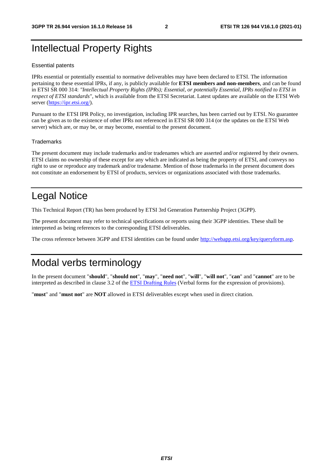# Intellectual Property Rights

### Essential patents

IPRs essential or potentially essential to normative deliverables may have been declared to ETSI. The information pertaining to these essential IPRs, if any, is publicly available for **ETSI members and non-members**, and can be found in ETSI SR 000 314: *"Intellectual Property Rights (IPRs); Essential, or potentially Essential, IPRs notified to ETSI in respect of ETSI standards"*, which is available from the ETSI Secretariat. Latest updates are available on the ETSI Web server [\(https://ipr.etsi.org/](https://ipr.etsi.org/)).

Pursuant to the ETSI IPR Policy, no investigation, including IPR searches, has been carried out by ETSI. No guarantee can be given as to the existence of other IPRs not referenced in ETSI SR 000 314 (or the updates on the ETSI Web server) which are, or may be, or may become, essential to the present document.

#### **Trademarks**

The present document may include trademarks and/or tradenames which are asserted and/or registered by their owners. ETSI claims no ownership of these except for any which are indicated as being the property of ETSI, and conveys no right to use or reproduce any trademark and/or tradename. Mention of those trademarks in the present document does not constitute an endorsement by ETSI of products, services or organizations associated with those trademarks.

# Legal Notice

This Technical Report (TR) has been produced by ETSI 3rd Generation Partnership Project (3GPP).

The present document may refer to technical specifications or reports using their 3GPP identities. These shall be interpreted as being references to the corresponding ETSI deliverables.

The cross reference between 3GPP and ETSI identities can be found under<http://webapp.etsi.org/key/queryform.asp>.

# Modal verbs terminology

In the present document "**should**", "**should not**", "**may**", "**need not**", "**will**", "**will not**", "**can**" and "**cannot**" are to be interpreted as described in clause 3.2 of the [ETSI Drafting Rules](https://portal.etsi.org/Services/editHelp!/Howtostart/ETSIDraftingRules.aspx) (Verbal forms for the expression of provisions).

"**must**" and "**must not**" are **NOT** allowed in ETSI deliverables except when used in direct citation.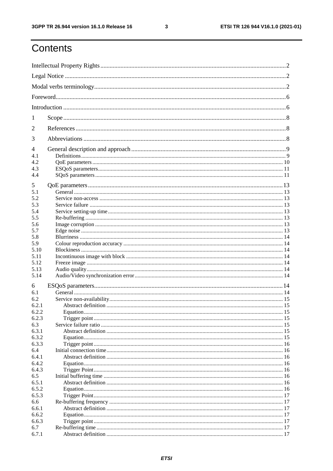# Contents

| 1                             |  |  |  |
|-------------------------------|--|--|--|
| $\overline{2}$                |  |  |  |
| 3                             |  |  |  |
| 4<br>4.1<br>4.2<br>4.3<br>4.4 |  |  |  |
| 5<br>5.1                      |  |  |  |
| 5.2                           |  |  |  |
| 5.3                           |  |  |  |
| 5.4<br>5.5                    |  |  |  |
| 5.6                           |  |  |  |
| 5.7                           |  |  |  |
| 5.8                           |  |  |  |
| 5.9                           |  |  |  |
| 5.10                          |  |  |  |
| 5.11<br>5.12                  |  |  |  |
| 5.13                          |  |  |  |
| 5.14                          |  |  |  |
| 6                             |  |  |  |
| 6.1                           |  |  |  |
| 6.2                           |  |  |  |
| 6.2.1<br>6.2.2                |  |  |  |
| 6.2.3                         |  |  |  |
| 6.3                           |  |  |  |
| 6.3.1                         |  |  |  |
| 6.3.2                         |  |  |  |
| 6.3.3                         |  |  |  |
| 6.4<br>6.4.1                  |  |  |  |
| 6.4.2                         |  |  |  |
| 6.4.3                         |  |  |  |
| 6.5                           |  |  |  |
| 6.5.1                         |  |  |  |
| 6.5.2                         |  |  |  |
| 6.5.3<br>6.6                  |  |  |  |
| 6.6.1                         |  |  |  |
| 6.6.2                         |  |  |  |
| 6.6.3                         |  |  |  |
| 6.7                           |  |  |  |
| 6.7.1                         |  |  |  |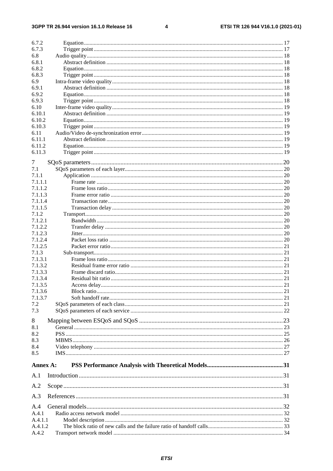### $\overline{\mathbf{4}}$

| 6.7.2    |         |  |  |  |
|----------|---------|--|--|--|
| 6.7.3    |         |  |  |  |
| 6.8      |         |  |  |  |
| 6.8.1    |         |  |  |  |
| 6.8.2    |         |  |  |  |
| 6.8.3    |         |  |  |  |
| 6.9      |         |  |  |  |
| 6.9.1    |         |  |  |  |
| 6.9.2    |         |  |  |  |
| 6.9.3    |         |  |  |  |
| 6.10     |         |  |  |  |
| 6.10.1   |         |  |  |  |
| 6.10.2   |         |  |  |  |
| 6.10.3   |         |  |  |  |
| 6.11     |         |  |  |  |
| 6.11.1   |         |  |  |  |
| 6.11.2   |         |  |  |  |
| 6.11.3   |         |  |  |  |
|          |         |  |  |  |
| 7        |         |  |  |  |
| 7.1      |         |  |  |  |
| 7.1.1    |         |  |  |  |
| 7.1.1.1  |         |  |  |  |
| 7.1.1.2  |         |  |  |  |
| 7.1.1.3  |         |  |  |  |
| 7.1.1.4  |         |  |  |  |
| 7.1.1.5  |         |  |  |  |
| 7.1.2    |         |  |  |  |
| 7.1.2.1  |         |  |  |  |
| 7.1.2.2  |         |  |  |  |
| 7.1.2.3  |         |  |  |  |
| 7.1.2.4  |         |  |  |  |
| 7.1.2.5  |         |  |  |  |
| 7.1.3    |         |  |  |  |
| 7.1.3.1  |         |  |  |  |
| 7.1.3.2  |         |  |  |  |
| 7.1.3.3  |         |  |  |  |
| 7.1.3.4  |         |  |  |  |
| 7.1.3.5  |         |  |  |  |
| 7.1.3.6  |         |  |  |  |
| 7.1.3.7  |         |  |  |  |
| 7.2      |         |  |  |  |
| 7.3      |         |  |  |  |
| 8        |         |  |  |  |
| 8.1      |         |  |  |  |
| 8.2      |         |  |  |  |
| 8.3      |         |  |  |  |
| 8.4      |         |  |  |  |
| 8.5      |         |  |  |  |
|          |         |  |  |  |
| Annex A: |         |  |  |  |
| A.1      |         |  |  |  |
| A.2      |         |  |  |  |
| A.3      |         |  |  |  |
| A.4      |         |  |  |  |
| A.4.1    |         |  |  |  |
|          | A.4.1.1 |  |  |  |
| A.4.1.2  |         |  |  |  |
| A.4.2    |         |  |  |  |
|          |         |  |  |  |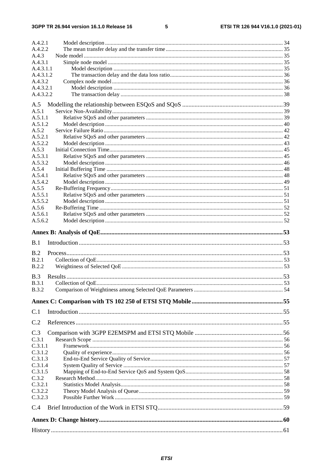### $5\phantom{a}$

| A.4.2.2<br>A.4.3   |  |
|--------------------|--|
| A.4.3.1            |  |
| A.4.3.1.1          |  |
| A.4.3.1.2          |  |
| A.4.3.2            |  |
| A.4.3.2.1          |  |
| A.4.3.2.2          |  |
| A.5                |  |
| A.5.1              |  |
| A.5.1.1            |  |
| A.5.1.2            |  |
| A.5.2              |  |
| A.5.2.1            |  |
| A.5.2.2            |  |
| A.5.3              |  |
| A.5.3.1            |  |
| A.5.3.2<br>A.5.4   |  |
| A.5.4.1            |  |
| A.5.4.2            |  |
| A.5.5              |  |
| A.5.5.1            |  |
| A.5.5.2            |  |
| A.5.6              |  |
| A.5.6.1            |  |
| A.5.6.2            |  |
|                    |  |
| B.1                |  |
|                    |  |
|                    |  |
| B.2                |  |
| B.2.1              |  |
| <b>B.2.2</b>       |  |
| B.3                |  |
| <b>B.3.1</b>       |  |
| <b>B.3.2</b>       |  |
|                    |  |
| C.1                |  |
|                    |  |
| C.2                |  |
| C.3                |  |
| C.3.1              |  |
| C.3.1.1            |  |
| C.3.1.2            |  |
| C.3.1.3<br>C.3.1.4 |  |
| C.3.1.5            |  |
| C.3.2              |  |
| C.3.2.1            |  |
| C.3.2.2            |  |
| C.3.2.3            |  |
| C.4                |  |
|                    |  |
|                    |  |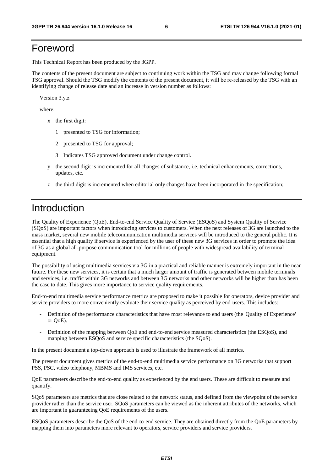# Foreword

This Technical Report has been produced by the 3GPP.

The contents of the present document are subject to continuing work within the TSG and may change following formal TSG approval. Should the TSG modify the contents of the present document, it will be re-released by the TSG with an identifying change of release date and an increase in version number as follows:

Version 3.y.z

where:

- x the first digit:
	- 1 presented to TSG for information;
	- 2 presented to TSG for approval;
	- 3 Indicates TSG approved document under change control.
- y the second digit is incremented for all changes of substance, i.e. technical enhancements, corrections, updates, etc.
- z the third digit is incremented when editorial only changes have been incorporated in the specification;

# Introduction

The Quality of Experience (QoE), End-to-end Service Quality of Service (ESQoS) and System Quality of Service (SQoS) are important factors when introducing services to customers. When the next releases of 3G are launched to the mass market, several new mobile telecommunication multimedia services will be introduced to the general public. It is essential that a high quality if service is experienced by the user of these new 3G services in order to promote the idea of 3G as a global all-purpose communication tool for millions of people with widespread availability of terminal equipment.

The possibility of using multimedia services via 3G in a practical and reliable manner is extremely important in the near future. For these new services, it is certain that a much larger amount of traffic is generated between mobile terminals and services, i.e. traffic within 3G networks and between 3G networks and other networks will be higher than has been the case to date. This gives more importance to service quality requirements.

End-to-end multimedia service performance metrics are proposed to make it possible for operators, device provider and service providers to more conveniently evaluate their service quality as perceived by end-users. This includes:

- Definition of the performance characteristics that have most relevance to end users (the 'Quality of Experience' or QoE).
- Definition of the mapping between QoE and end-to-end service measured characteristics (the ESQoS), and mapping between ESQoS and service specific characteristics (the SQoS).

In the present document a top-down approach is used to illustrate the framework of all metrics.

The present document gives metrics of the end-to-end multimedia service performance on 3G networks that support PSS, PSC, video telephony, MBMS and IMS services, etc.

QoE parameters describe the end-to-end quality as experienced by the end users. These are difficult to measure and quantify.

SQoS parameters are metrics that are close related to the network status, and defined from the viewpoint of the service provider rather than the service user. SQoS parameters can be viewed as the inherent attributes of the networks, which are important in guaranteeing QoE requirements of the users.

ESQoS parameters describe the QoS of the end-to-end service. They are obtained directly from the QoE parameters by mapping them into parameters more relevant to operators, service providers and service providers.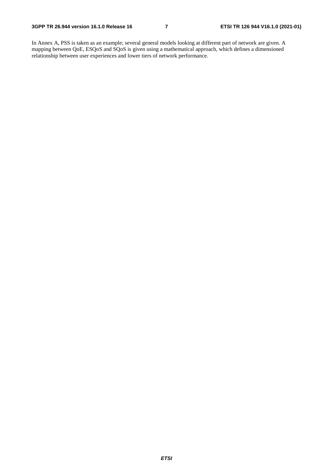In Annex A, PSS is taken as an example; several general models looking at different part of network are given. A mapping between QoE, ESQoS and SQoS is given using a mathematical approach, which defines a dimensioned relationship between user experiences and lower tiers of network performance.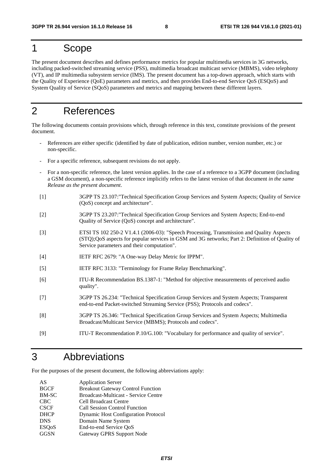# 1 Scope

The present document describes and defines performance metrics for popular multimedia services in 3G networks, including packed-switched streaming service (PSS), multimedia broadcast multicast service (MBMS), video telephony (VT), and IP multimedia subsystem service (IMS). The present document has a top-down approach, which starts with the Quality of Experience (QoE) parameters and metrics, and then provides End-to-end Service QoS (ESQoS) and System Quality of Service (SQoS) parameters and metrics and mapping between these different layers.

# 2 References

The following documents contain provisions which, through reference in this text, constitute provisions of the present document.

- References are either specific (identified by date of publication, edition number, version number, etc.) or non-specific.
- For a specific reference, subsequent revisions do not apply.
- For a non-specific reference, the latest version applies. In the case of a reference to a 3GPP document (including a GSM document), a non-specific reference implicitly refers to the latest version of that document *in the same Release as the present document*.
- [1] 3GPP TS 23.107:"Technical Specification Group Services and System Aspects; Quality of Service (QoS) concept and architecture".
- [2] 3GPP TS 23.207:"Technical Specification Group Services and System Aspects; End-to-end Quality of Service (QoS) concept and architecture".
- [3] ETSI TS 102 250-2 V1.4.1 (2006-03): "Speech Processing, Transmission and Quality Aspects (STQ);QoS aspects for popular services in GSM and 3G networks; Part 2: Definition of Quality of Service parameters and their computation".
- [4] IETF RFC 2679: "A One-way Delay Metric for IPPM".
- [5] IETF RFC 3133: "Terminology for Frame Relay Benchmarking".
- [6] ITU-R Recommendation BS.1387-1: "Method for objective measurements of perceived audio quality".
- [7] 3GPP TS 26.234: "Technical Specification Group Services and System Aspects; Transparent end-to-end Packet-switched Streaming Service (PSS); Protocols and codecs".
- [8] 3GPP TS 26.346: "Technical Specification Group Services and System Aspects; Multimedia Broadcast/Multicast Service (MBMS); Protocols and codecs".
- [9] ITU-T Recommendation P.10/G.100: "Vocabulary for performance and quality of service".

# 3 Abbreviations

For the purposes of the present document, the following abbreviations apply:

| AS           | <b>Application Server</b>                   |
|--------------|---------------------------------------------|
| <b>BGCF</b>  | <b>Breakout Gateway Control Function</b>    |
| BM-SC        | <b>Broadcast-Multicast - Service Centre</b> |
| <b>CBC</b>   | <b>Cell Broadcast Centre</b>                |
| <b>CSCF</b>  | <b>Call Session Control Function</b>        |
| <b>DHCP</b>  | <b>Dynamic Host Configuration Protocol</b>  |
| <b>DNS</b>   | Domain Name System                          |
| <b>ESQoS</b> | End-to-end Service QoS                      |
| <b>GGSN</b>  | Gateway GPRS Support Node                   |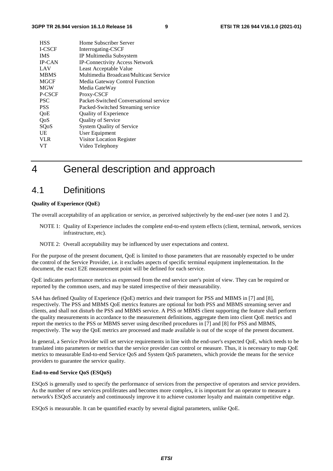| <b>HSS</b>    | Home Subscriber Server                 |
|---------------|----------------------------------------|
| <b>I-CSCF</b> | Interrogating-CSCF                     |
| <b>IMS</b>    | IP Multimedia Subsystem                |
| <b>IP-CAN</b> | <b>IP-Connectivity Access Network</b>  |
| LAV           | Least Acceptable Value                 |
| <b>MBMS</b>   | Multimedia Broadcast/Multicast Service |
| <b>MGCF</b>   | Media Gateway Control Function         |
| <b>MGW</b>    | Media GateWay                          |
| P-CSCF        | Proxy-CSCF                             |
| <b>PSC</b>    | Packet-Switched Conversational service |
| <b>PSS</b>    | Packed-Switched Streaming service      |
| QoE           | Quality of Experience                  |
| QoS           | <b>Quality of Service</b>              |
| SQoS          | <b>System Quality of Service</b>       |
| UE            | User Equipment                         |
| <b>VLR</b>    | Visitor Location Register              |
| VT            | Video Telephony                        |
|               |                                        |

# 4 General description and approach

## 4.1 Definitions

#### **Quality of Experience (QoE)**

The overall acceptability of an application or service, as perceived subjectively by the end-user (see notes 1 and 2).

- NOTE 1: Quality of Experience includes the complete end-to-end system effects (client, terminal, network, services infrastructure, etc).
- NOTE 2: Overall acceptability may be influenced by user expectations and context.

For the purpose of the present document, QoE is limited to those parameters that are reasonably expected to be under the control of the Service Provider, i.e. it excludes aspects of specific terminal equipment implementation. In the document, the exact E2E measurement point will be defined for each service.

QoE indicates performance metrics as expressed from the end service user's point of view. They can be required or reported by the common users, and may be stated irrespective of their measurability.

SA4 has defined Quality of Experience (QoE) metrics and their transport for PSS and MBMS in [7] and [8], respectively. The PSS and MBMS QoE metrics features are optional for both PSS and MBMS streaming server and clients, and shall not disturb the PSS and MBMS service. A PSS or MBMS client supporting the feature shall perform the quality measurements in accordance to the measurement definitions, aggregate them into client QoE metrics and report the metrics to the PSS or MBMS server using described procedures in [7] and [8] for PSS and MBMS, respectively. The way the QoE metrics are processed and made available is out of the scope of the present document.

In general, a Service Provider will set service requirements in line with the end-user's expected QoE, which needs to be translated into parameters or metrics that the service provider can control or measure. Thus, it is necessary to map QoE metrics to measurable End-to-end Service QoS and System QoS parameters, which provide the means for the service providers to guarantee the service quality.

### **End-to-end Service QoS (ESQoS)**

ESQoS is generally used to specify the performance of services from the perspective of operators and service providers. As the number of new services proliferates and becomes more complex, it is important for an operator to measure a network's ESQoS accurately and continuously improve it to achieve customer loyalty and maintain competitive edge.

ESQoS is measurable. It can be quantified exactly by several digital parameters, unlike QoE.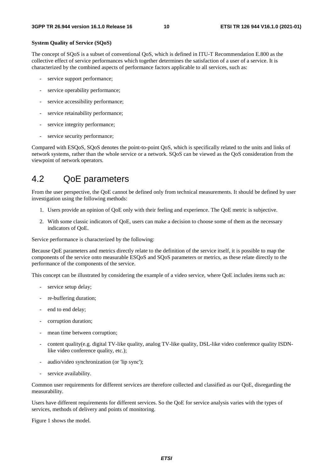### **System Quality of Service (SQoS)**

The concept of SQoS is a subset of conventional QoS, which is defined in ITU-T Recommendation E.800 as the collective effect of service performances which together determines the satisfaction of a user of a service. It is characterized by the combined aspects of performance factors applicable to all services, such as:

- service support performance;
- service operability performance;
- service accessibility performance;
- service retainability performance;
- service integrity performance;
- service security performance;

Compared with ESQoS, SQoS denotes the point-to-point QoS, which is specifically related to the units and links of network systems, rather than the whole service or a network. SQoS can be viewed as the QoS consideration from the viewpoint of network operators.

## 4.2 QoE parameters

From the user perspective, the QoE cannot be defined only from technical measurements. It should be defined by user investigation using the following methods:

- 1. Users provide an opinion of QoE only with their feeling and experience. The QoE metric is subjective.
- 2. With some classic indicators of QoE, users can make a decision to choose some of them as the necessary indicators of QoE.

Service performance is characterized by the following:

Because QoE parameters and metrics directly relate to the definition of the service itself, it is possible to map the components of the service onto measurable ESQoS and SQoS parameters or metrics, as these relate directly to the performance of the components of the service.

This concept can be illustrated by considering the example of a video service, where QoE includes items such as:

- service setup delay;
- re-buffering duration:
- end to end delay;
- corruption duration;
- mean time between corruption;
- content quality(e.g. digital TV-like quality, analog TV-like quality, DSL-like video conference quality ISDNlike video conference quality, etc.);
- audio/video synchronization (or 'lip sync');
- service availability.

Common user requirements for different services are therefore collected and classified as our QoE, disregarding the measurability.

Users have different requirements for different services. So the QoE for service analysis varies with the types of services, methods of delivery and points of monitoring.

Figure 1 shows the model.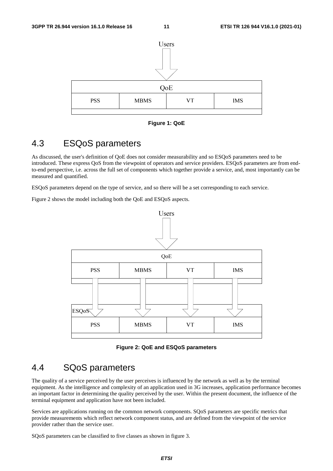

**Figure 1: QoE** 

# 4.3 ESQoS parameters

As discussed, the user's definition of QoE does not consider measurability and so ESQoS parameters need to be introduced. These express QoS from the viewpoint of operators and service providers. ESQoS parameters are from endto-end perspective, i.e. across the full set of components which together provide a service, and, most importantly can be measured and quantified.

ESQoS parameters depend on the type of service, and so there will be a set corresponding to each service.

Figure 2 shows the model including both the QoE and ESQoS aspects.



**Figure 2: QoE and ESQoS parameters** 

# 4.4 SQoS parameters

The quality of a service perceived by the user perceives is influenced by the network as well as by the terminal equipment. As the intelligence and complexity of an application used in 3G increases, application performance becomes an important factor in determining the quality perceived by the user. Within the present document, the influence of the terminal equipment and application have not been included.

Services are applications running on the common network components. SQoS parameters are specific metrics that provide measurements which reflect network component status, and are defined from the viewpoint of the service provider rather than the service user.

SQoS parameters can be classified to five classes as shown in figure 3.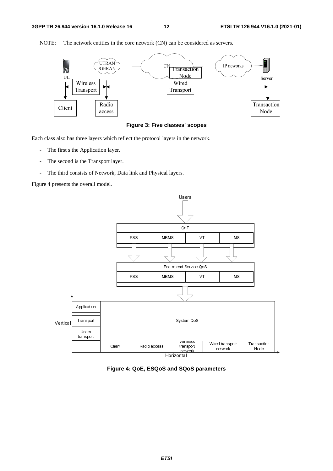

NOTE: The network entities in the core network (CN) can be considered as servers.

### **Figure 3: Five classes' scopes**

Each class also has three layers which reflect the protocol layers in the network.

- The first s the Application layer.
- The second is the Transport layer.
- The third consists of Network, Data link and Physical layers.

Figure 4 presents the overall model.



**Figure 4: QoE, ESQoS and SQoS parameters**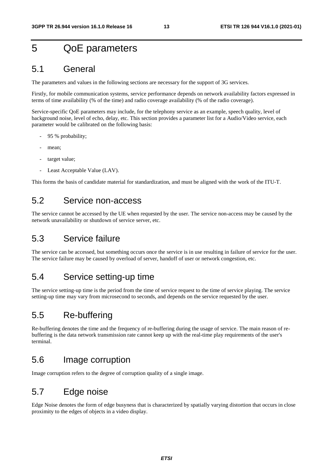# 5 QoE parameters

## 5.1 General

The parameters and values in the following sections are necessary for the support of 3G services.

Firstly, for mobile communication systems, service performance depends on network availability factors expressed in terms of time availability (% of the time) and radio coverage availability (% of the radio coverage).

Service-specific QoE parameters may include, for the telephony service as an example, speech quality, level of background noise, level of echo, delay, etc. This section provides a parameter list for a Audio/Video service, each parameter would be calibrated on the following basis:

- 95 % probability;
- mean;
- target value;
- Least Acceptable Value (LAV).

This forms the basis of candidate material for standardization, and must be aligned with the work of the ITU-T.

## 5.2 Service non-access

The service cannot be accessed by the UE when requested by the user. The service non-access may be caused by the network unavailability or shutdown of service server, etc.

## 5.3 Service failure

The service can be accessed, but something occurs once the service is in use resulting in failure of service for the user. The service failure may be caused by overload of server, handoff of user or network congestion, etc.

## 5.4 Service setting-up time

The service setting-up time is the period from the time of service request to the time of service playing. The service setting-up time may vary from microsecond to seconds, and depends on the service requested by the user.

## 5.5 Re-buffering

Re-buffering denotes the time and the frequency of re-buffering during the usage of service. The main reason of rebuffering is the data network transmission rate cannot keep up with the real-time play requirements of the user's terminal.

## 5.6 Image corruption

Image corruption refers to the degree of corruption quality of a single image.

# 5.7 Edge noise

Edge Noise denotes the form of edge busyness that is characterized by spatially varying distortion that occurs in close proximity to the edges of objects in a video display.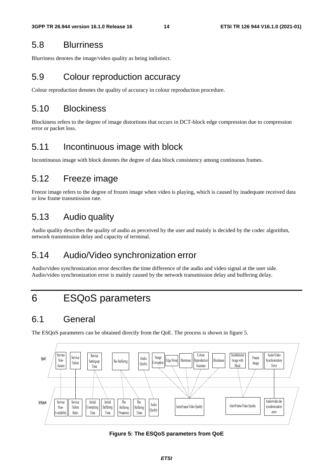## 5.8 Blurriness

Blurriness denotes the image/video quality as being indistinct.

# 5.9 Colour reproduction accuracy

Colour reproduction denotes the quality of accuracy in colour reproduction procedure.

## 5.10 Blockiness

Blockiness refers to the degree of image distortions that occurs in DCT-block edge compression due to compression error or packet loss.

# 5.11 Incontinuous image with block

Incontinuous image with block denotes the degree of data block consistency among continuous frames.

# 5.12 Freeze image

Freeze image refers to the degree of frozen image when video is playing, which is caused by inadequate received data or low frame transmission rate.

# 5.13 Audio quality

Audio quality describes the quality of audio as perceived by the user and mainly is decided by the codec algorithm, network transmission delay and capacity of terminal.

# 5.14 Audio/Video synchronization error

Audio/video synchronization error describes the time difference of the audio and video signal at the user side. Audio/video synchronization error is mainly caused by the network transmission delay and buffering delay.

# 6 ESQoS parameters

# 6.1 General

The ESQoS parameters can be obtained directly from the QoE. The process is shown in figure 5.



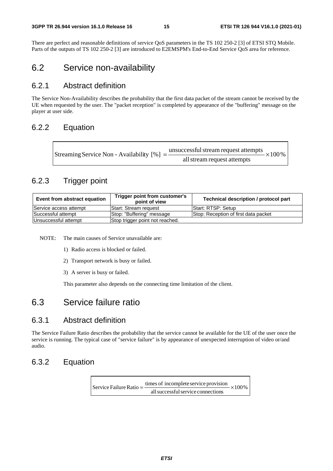There are perfect and reasonable definitions of service QoS parameters in the TS 102 250-2 [3] of ETSI STQ Mobile. Parts of the outputs of TS 102 250-2 [3] are introduced to E2EMSPM's End-to-End Service QoS area for reference.

## 6.2 Service non-availability

## 6.2.1 Abstract definition

The Service Non-Availability describes the probability that the first data packet of the stream cannot be received by the UE when requested by the user. The "packet reception" is completed by appearance of the "buffering" message on the player at user side.

## 6.2.2 Equation

| Streaming Service Non - Availability [%] = $\frac{\text{unsuccessful stream request attempts}}{\text{}}$ × 100 % |
|------------------------------------------------------------------------------------------------------------------|
| all stream request attempts                                                                                      |

## 6.2.3 Trigger point

| Event from abstract equation                            | Trigger point from customer's<br>point of view | Technical description / protocol part |
|---------------------------------------------------------|------------------------------------------------|---------------------------------------|
| Service access attempt                                  | <b>IStart: Stream request</b>                  | Start: RTSP: Setup                    |
| Successful attempt                                      | Stop: "Buffering" message                      | Stop: Reception of first data packet  |
| Unsuccessful attempt<br>Stop trigger point not reached. |                                                |                                       |

NOTE: The main causes of Service unavailable are:

- 1) Radio access is blocked or failed.
- 2) Transport network is busy or failed.
- 3) A server is busy or failed.

This parameter also depends on the connecting time limitation of the client.

## 6.3 Service failure ratio

## 6.3.1 Abstract definition

The Service Failure Ratio describes the probability that the service cannot be available for the UE of the user once the service is running. The typical case of "service failure" is by appearance of unexpected interruption of video or/and audio.

## 6.3.2 Equation

 $\times100\%$ allsuccessfulservice connections Service Failure Ratio =  $\frac{\text{times of incomplete service provision}}{1 + \frac{1}{\text{times of the second period}}}$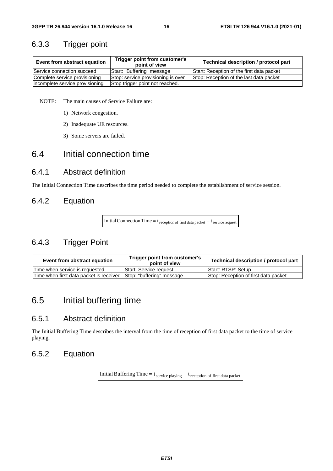## 6.3.3 Trigger point

| Event from abstract equation    | Trigger point from customer's<br>point of view | Technical description / protocol part     |
|---------------------------------|------------------------------------------------|-------------------------------------------|
| Service connection succeed      | Start: "Buffering" message                     | Start: Reception of the first data packet |
| Complete service provisioning   | Stop: service provisioning is over             | Stop: Reception of the last data packet   |
| incomplete service provisioning | Stop trigger point not reached.                |                                           |

NOTE: The main causes of Service Failure are:

- 1) Network congestion.
- 2) Inadequate UE resources.
- 3) Some servers are failed.

# 6.4 Initial connection time

## 6.4.1 Abstract definition

The Initial Connection Time describes the time period needed to complete the establishment of service session.

## 6.4.2 Equation

Initial Connection Time =  $t_{\text{reception of first data packet}} - t_{\text{service request}}$ 

## 6.4.3 Trigger Point

| Event from abstract equation                                      | Trigger point from customer's<br>point of view | Technical description / protocol part |
|-------------------------------------------------------------------|------------------------------------------------|---------------------------------------|
| lTime when service is reauested                                   | Start: Service request                         | Start: RTSP: Setup                    |
| Time when first data packet is received Stop: "buffering" message |                                                | Stop: Reception of first data packet  |

## 6.5 Initial buffering time

## 6.5.1 Abstract definition

The Initial Buffering Time describes the interval from the time of reception of first data packet to the time of service playing.

## 6.5.2 Equation

Initial Buffering Time =  $t_{\text{service playing}} - t_{\text{reception of first data packet}}$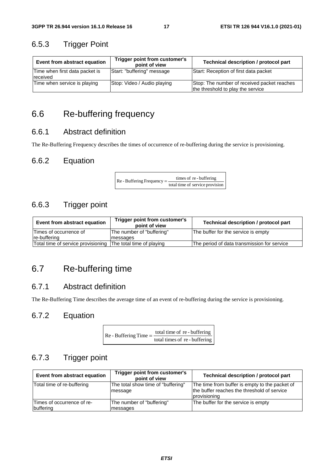## 6.5.3 Trigger Point

| Event from abstract equation               | Trigger point from customer's<br>point of view | Technical description / protocol part                                            |
|--------------------------------------------|------------------------------------------------|----------------------------------------------------------------------------------|
| Time when first data packet is<br>received | Start: "buffering" message                     | Start: Reception of first data packet                                            |
| Time when service is playing               | Stop: Video / Audio playing                    | Stop: The number of received packet reaches<br>the threshold to play the service |

# 6.6 Re-buffering frequency

## 6.6.1 Abstract definition

The Re-Buffering Frequency describes the times of occurrence of re-buffering during the service is provisioning.

## 6.6.2 Equation

Re - Buffering Frequency  $=$   $\frac{\text{times of re} - \text{buffering}}{\text{total time of service provision}}$ 

## 6.6.3 Trigger point

| Event from abstract equation       | Trigger point from customer's<br>point of view | Technical description / protocol part       |
|------------------------------------|------------------------------------------------|---------------------------------------------|
| Times of occurrence of             | The number of "buffering"                      | The buffer for the service is empty         |
| Ire-buffering                      | messages                                       |                                             |
| Total time of service provisioning | The total time of playing                      | The period of data transmission for service |

# 6.7 Re-buffering time

## 6.7.1 Abstract definition

The Re-Buffering Time describes the average time of an event of re-buffering during the service is provisioning.

## 6.7.2 Equation

| Re - Buffering Time $=\frac{10}{10}$ | total time of re-buffering  |
|--------------------------------------|-----------------------------|
|                                      | total times of re-buffering |

## 6.7.3 Trigger point

| Event from abstract equation            | Trigger point from customer's<br>point of view | Technical description / protocol part                                                                         |
|-----------------------------------------|------------------------------------------------|---------------------------------------------------------------------------------------------------------------|
| Total time of re-buffering              | The total show time of "buffering"<br>message  | The time from buffer is empty to the packet of<br>the buffer reaches the threshold of service<br>provisioning |
| Times of occurrence of re-<br>buffering | The number of "buffering"<br>messages          | The buffer for the service is empty                                                                           |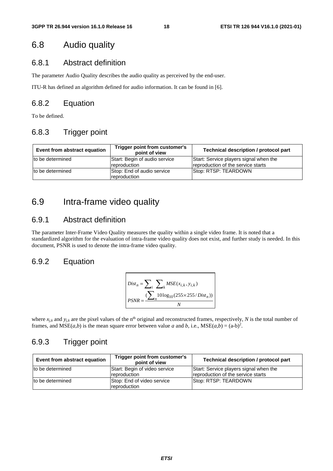## 6.8 Audio quality

## 6.8.1 Abstract definition

The parameter Audio Quality describes the audio quality as perceived by the end-user.

ITU-R has defined an algorithm defined for audio information. It can be found in [6].

## 6.8.2 Equation

To be defined.

## 6.8.3 Trigger point

| Event from abstract equation | Trigger point from customer's<br>point of view | Technical description / protocol part                                        |
|------------------------------|------------------------------------------------|------------------------------------------------------------------------------|
| Ito be determined            | Start: Begin of audio service<br>reproduction  | Start: Service players signal when the<br>reproduction of the service starts |
| to be determined             | Stop: End of audio service<br>reproduction     | Stop: RTSP: TEARDOWN                                                         |

# 6.9 Intra-frame video quality

## 6.9.1 Abstract definition

The parameter Inter-Frame Video Quality measures the quality within a single video frame. It is noted that a standardized algorithm for the evaluation of intra-frame video quality does not exist, and further study is needed. In this document, PSNR is used to denote the intra-frame video quality.

## 6.9.2 Equation

$$
Dist_n = \sum_{i} \sum_{k} MSE(x_{i,k}, y_{i,k})
$$
  
PSNR = 
$$
\frac{\sum_{i} 10 \log_{10}(255 \times 255/Dist_n))}{N}
$$

where  $x_{j,k}$  and  $y_{j,k}$  are the pixel values of the n<sup>th</sup> original and reconstructed frames, respectively, *N* is the total number of frames, and  $MSE(a,b)$  is the mean square error between value *a* and *b*, i.e.,  $MSE(a,b) = (a-b)^2$ .

# 6.9.3 Trigger point

| Event from abstract equation | Trigger point from customer's<br>point of view | Technical description / protocol part                                        |
|------------------------------|------------------------------------------------|------------------------------------------------------------------------------|
| to be determined             | Start: Begin of video service<br>reproduction  | Start: Service players signal when the<br>reproduction of the service starts |
| to be determined             | Stop: End of video service<br>reproduction     | Stop: RTSP: TEARDOWN                                                         |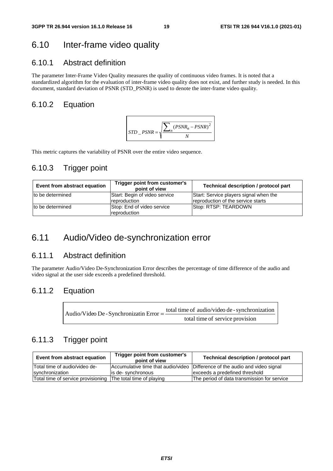# 6.10 Inter-frame video quality

## 6.10.1 Abstract definition

The parameter Inter-Frame Video Quality measures the quality of continuous video frames. It is noted that a standardized algorithm for the evaluation of inter-frame video quality does not exist, and further study is needed. In this document, standard deviation of PSNR (STD\_PSNR) is used to denote the inter-frame video quality.

## 6.10.2 Equation



This metric captures the variability of PSNR over the entire video sequence.

## 6.10.3 Trigger point

| Event from abstract equation | Trigger point from customer's<br>point of view | Technical description / protocol part                                        |
|------------------------------|------------------------------------------------|------------------------------------------------------------------------------|
| to be determined             | Start: Begin of video service<br>reproduction  | Start: Service players signal when the<br>reproduction of the service starts |
| to be determined             | Stop: End of video service<br>reproduction     | Stop: RTSP: TEARDOWN                                                         |

# 6.11 Audio/Video de-synchronization error

## 6.11.1 Abstract definition

The parameter Audio/Video De-Synchronization Error describes the percentage of time difference of the audio and video signal at the user side exceeds a predefined threshold.

## 6.11.2 Equation

| Audio/Video De - Synchronizatin Error $=\frac{\text{total}}{2}$ | total time of audio/video de - synchronization |
|-----------------------------------------------------------------|------------------------------------------------|
|                                                                 | total time of service provision                |

## 6.11.3 Trigger point

| Event from abstract equation                                 | Trigger point from customer's<br>point of view | Technical description / protocol part                                       |
|--------------------------------------------------------------|------------------------------------------------|-----------------------------------------------------------------------------|
| Total time of audio/video de-                                |                                                | Accumulative time that audio/video Difference of the audio and video signal |
| synchronization                                              | lis de-synchronous                             | exceeds a predefined threshold                                              |
| Total time of service provisioning The total time of playing |                                                | The period of data transmission for service                                 |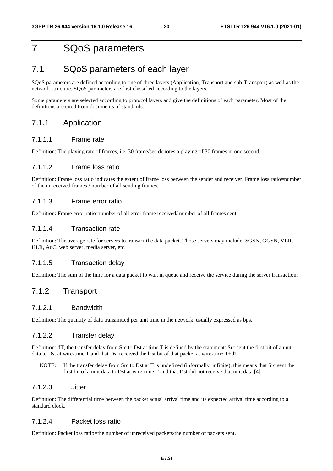# 7 SQoS parameters

## 7.1 SQoS parameters of each layer

SQoS parameters are defined according to one of three layers (Application, Transport and sub-Transport) as well as the network structure, SQoS parameters are first classified according to the layers.

Some parameters are selected according to protocol layers and give the definitions of each parameter. Most of the definitions are cited from documents of standards.

## 7.1.1 Application

### 7.1.1.1 Frame rate

Definition: The playing rate of frames, i.e. 30 frame/sec denotes a playing of 30 frames in one second.

### 7.1.1.2 Frame loss ratio

Definition: Frame loss ratio indicates the extent of frame loss between the sender and receiver. Frame loss ratio=number of the unreceived frames / number of all sending frames.

### 7.1.1.3 Frame error ratio

Definition: Frame error ratio=number of all error frame received/ number of all frames sent.

### 7.1.1.4 Transaction rate

Definition: The average rate for servers to transact the data packet. Those servers may include: SGSN, GGSN, VLR, HLR, AuC, web server, media server, etc.

### 7.1.1.5 Transaction delay

Definition: The sum of the time for a data packet to wait in queue and receive the service during the server transaction.

## 7.1.2 Transport

### 7.1.2.1 Bandwidth

Definition: The quantity of data transmitted per unit time in the network, usually expressed as bps.

### 7.1.2.2 Transfer delay

Definition: dT, the transfer delay from Src to Dst at time T is defined by the statement: Src sent the first bit of a unit data to Dst at wire-time T and that Dst received the last bit of that packet at wire-time T+dT.

NOTE: If the transfer delay from Src to Dst at T is undefined (informally, infinite), this means that Src sent the first bit of a unit data to Dst at wire-time T and that Dst did not receive that unit data [4].

### 7.1.2.3 Jitter

Definition: The differential time between the packet actual arrival time and its expected arrival time according to a standard clock.

### 7.1.2.4 Packet loss ratio

Definition: Packet loss ratio=the number of unreceived packets/the number of packets sent.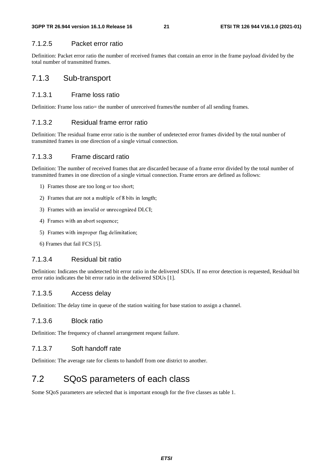### 7.1.2.5 Packet error ratio

Definition: Packet error ratio the number of received frames that contain an error in the frame payload divided by the total number of transmitted frames.

## 7.1.3 Sub-transport

## 7.1.3.1 Frame loss ratio

Definition: Frame loss ratio= the number of unreceived frames/the number of all sending frames.

## 7.1.3.2 Residual frame error ratio

Definition: The residual frame error ratio is the number of undetected error frames divided by the total number of transmitted frames in one direction of a single virtual connection.

### 7.1.3.3 Frame discard ratio

Definition: The number of received frames that are discarded because of a frame error divided by the total number of transmitted frames in one direction of a single virtual connection. Frame errors are defined as follows:

- 1) Frames those are too long or too short;
- 2) Frames that are not a multiple of 8 bits in length;
- 3) Frames with an invalid or unrecognized DLCI;
- 4) Frames with an abort sequence;
- 5) Frames with improper flag delimitation;
- 6) Frames that fail FCS [5].

## 7.1.3.4 Residual bit ratio

Definition: Indicates the undetected bit error ratio in the delivered SDUs. If no error detection is requested, Residual bit error ratio indicates the bit error ratio in the delivered SDUs [1].

### 7.1.3.5 Access delay

Definition: The delay time in queue of the station waiting for base station to assign a channel.

### 7.1.3.6 Block ratio

Definition: The frequency of channel arrangement request failure.

## 7.1.3.7 Soft handoff rate

Definition: The average rate for clients to handoff from one district to another.

# 7.2 SQoS parameters of each class

Some SQoS parameters are selected that is important enough for the five classes as table 1.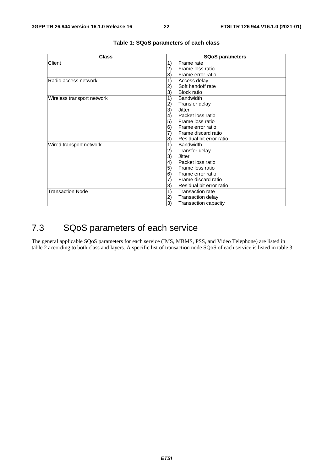| <b>Class</b>               | <b>SQoS parameters</b>                       |
|----------------------------|----------------------------------------------|
| Client                     | 1)<br>Frame rate                             |
|                            | Frame loss ratio                             |
|                            | Frame error ratio<br>3)                      |
| Radio access network       | 1)<br>Access delay                           |
|                            | Soft handoff rate                            |
|                            | <b>Block ratio</b><br>3)                     |
| Wireless transport network | 1)<br><b>Bandwidth</b>                       |
|                            | Transfer delay<br>2)                         |
|                            | 3)<br>Jitter                                 |
|                            | Packet loss ratio<br>$\left( 4\right)$       |
|                            | 5)<br>Frame loss ratio                       |
|                            | 6)<br>Frame error ratio                      |
|                            | Frame discard ratio                          |
|                            | Residual bit error ratio<br> 8)              |
| Wired transport network    | <b>Bandwidth</b><br>1)                       |
|                            | Transfer delay<br>$\left( 2\right)$          |
|                            | 3)<br><b>Jitter</b>                          |
|                            | 4)<br>Packet loss ratio                      |
|                            | 5)<br>Frame loss ratio                       |
|                            | 6)<br>Frame error ratio                      |
|                            | Frame discard ratio                          |
|                            | Residual bit error ratio<br>$\vert 8\rangle$ |
| <b>Transaction Node</b>    | 1)<br><b>Transaction rate</b>                |
|                            | <b>Transaction delay</b><br>2)               |
|                            | 3)<br><b>Transaction capacity</b>            |

### **Table 1: SQoS parameters of each class**

# 7.3 SQoS parameters of each service

The general applicable SQoS parameters for each service (IMS, MBMS, PSS, and Video Telephone) are listed in table 2 according to both class and layers. A specific list of transaction node SQoS of each service is listed in table 3.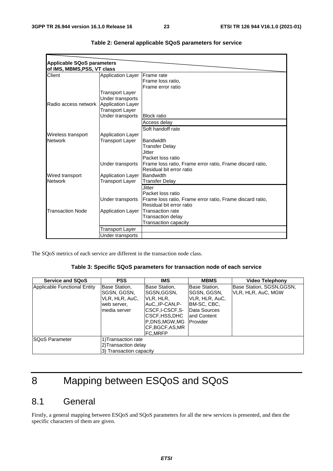| <b>Applicable SQoS parameters</b> |                          |                                                           |
|-----------------------------------|--------------------------|-----------------------------------------------------------|
| of IMS, MBMS, PSS, VT class       |                          |                                                           |
| Client                            | <b>Application Layer</b> | <b>Frame</b> rate                                         |
|                                   |                          | Frame loss ratio,                                         |
|                                   |                          | Frame error ratio                                         |
|                                   | Transport Layer          |                                                           |
|                                   | Under transports         |                                                           |
| Radio access network              | Application Layer        |                                                           |
|                                   | Transport Layer          |                                                           |
|                                   | Under transports         | <b>Block ratio</b>                                        |
|                                   |                          | Access delay                                              |
|                                   |                          | Soft handoff rate                                         |
| Wireless transport                | <b>Application Layer</b> |                                                           |
| <b>Network</b>                    | Transport Layer          | <b>Bandwidth</b>                                          |
|                                   |                          | <b>Transfer Delay</b>                                     |
|                                   |                          | Jitter                                                    |
|                                   |                          | Packet loss ratio                                         |
|                                   | Under transports         | Frame loss ratio, Frame error ratio, Frame discard ratio, |
|                                   |                          | Residual bit error ratio                                  |
| Wired transport                   | <b>Application Layer</b> | Bandwidth                                                 |
| <b>Network</b>                    | <b>Transport Layer</b>   | <b>Transfer Delay</b>                                     |
|                                   |                          | Jitter                                                    |
|                                   |                          | Packet loss ratio                                         |
|                                   | Under transports         | Frame loss ratio, Frame error ratio, Frame discard ratio, |
|                                   |                          | Residual bit error ratio                                  |
| <b>Transaction Node</b>           | <b>Application Layer</b> | <b>Transaction rate</b>                                   |
|                                   |                          | <b>Transaction delay</b>                                  |
|                                   |                          | Transaction capacity                                      |
|                                   | Transport Layer          |                                                           |
|                                   | Under transports         |                                                           |

| Table 2: General applicable SQoS parameters for service |  |  |  |  |  |
|---------------------------------------------------------|--|--|--|--|--|
|---------------------------------------------------------|--|--|--|--|--|

The SQoS metrics of each service are different in the transaction node class.

### **Table 3: Specific SQoS parameters for transaction node of each service**

| <b>Service and SQoS</b>      | <b>PSS</b>                                                                    | <b>IMS</b>                                                                                                                                    | <b>MBMS</b>                                                                                                | <b>Video Telephony</b>                          |
|------------------------------|-------------------------------------------------------------------------------|-----------------------------------------------------------------------------------------------------------------------------------------------|------------------------------------------------------------------------------------------------------------|-------------------------------------------------|
| Applicable Functional Entity | Base Station,<br>SGSN, GGSN,<br>VLR, HLR, AuC,<br>web server,<br>media server | Base Station,<br>SGSN, GGSN,<br>VLR, HLR,<br>AuC.,IP-CAN,P-<br> CSCF.I-CSCF.S-<br>ICSCF,HSS,DHC<br>P.DNS.MGW.MG<br>ICF.BGCF.AS.MR<br>IFC.MRFP | Base Station,<br>SGSN, GGSN,<br>VLR, HLR, AuC,<br> BM-SC, CBC,<br>Data Sources<br>land Content<br>Provider | Base Station, SGSN,GGSN,<br>IVLR, HLR, AuC, MGW |
| <b>SQoS Parameter</b>        | 1) Transaction rate<br>2) Transaction delay<br>3) Transaction capacity        |                                                                                                                                               |                                                                                                            |                                                 |

# 8 Mapping between ESQoS and SQoS

# 8.1 General

Firstly, a general mapping between ESQoS and SQoS parameters for all the new services is presented, and then the specific characters of them are given.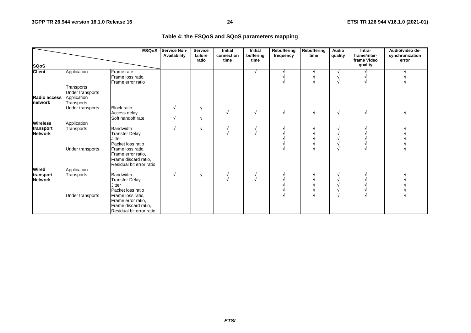| Table 4: the ESQoS and SQoS parameters mapping |  |
|------------------------------------------------|--|
|------------------------------------------------|--|

|                             |                                               | <b>ESQoS</b>                                                                                | <b>Service Non-</b><br>Availability | <b>Service</b><br>failure<br>ratio | <b>Initial</b><br>connection<br>time | <b>Initial</b><br>buffering<br>time | <b>Rebuffering</b><br>frequency | Rebuffering<br>time | Audio<br>quality | Intra-<br>frame/inter-<br>frame Video | Audio/video de-<br>synchronization<br>error |
|-----------------------------|-----------------------------------------------|---------------------------------------------------------------------------------------------|-------------------------------------|------------------------------------|--------------------------------------|-------------------------------------|---------------------------------|---------------------|------------------|---------------------------------------|---------------------------------------------|
| <b>SQoS</b>                 |                                               |                                                                                             |                                     |                                    |                                      |                                     |                                 |                     |                  | quality                               |                                             |
| <b>Client</b>               | Application                                   | Frame rate<br>Frame loss ratio,<br>Frame error ratio                                        |                                     |                                    |                                      | N                                   |                                 |                     |                  |                                       |                                             |
| Radio access                | Transports<br>Under transports<br>Application |                                                                                             |                                     |                                    |                                      |                                     |                                 |                     |                  |                                       |                                             |
| <b>Inetwork</b>             | Transports                                    |                                                                                             |                                     |                                    |                                      |                                     |                                 |                     |                  |                                       |                                             |
|                             | Under transports                              | <b>Block</b> ratio<br>Access delay<br>Soft handoff rate                                     |                                     | V<br>V                             |                                      |                                     |                                 |                     |                  |                                       |                                             |
| <b>Wireless</b>             | Application                                   |                                                                                             |                                     |                                    |                                      |                                     |                                 |                     |                  |                                       |                                             |
| transport<br><b>Network</b> | Transports                                    | Bandwidth<br><b>Transfer Delay</b><br><b>Jitter</b><br>Packet loss ratio                    |                                     | V                                  |                                      |                                     |                                 |                     |                  |                                       |                                             |
|                             | Under transports                              | Frame loss ratio,<br>Frame error ratio,<br>Frame discard ratio,<br>Residual bit error ratio |                                     |                                    |                                      |                                     |                                 |                     |                  |                                       |                                             |
| <b>Wired</b>                | Application                                   |                                                                                             |                                     |                                    |                                      |                                     |                                 |                     |                  |                                       |                                             |
| transport<br><b>Network</b> | Transports                                    | <b>Bandwidth</b><br><b>Transfer Delay</b><br><b>Jitter</b><br>Packet loss ratio             |                                     | V                                  |                                      |                                     |                                 |                     |                  |                                       |                                             |
|                             | Under transports                              | Frame loss ratio,<br>Frame error ratio,<br>Frame discard ratio,<br>Residual bit error ratio |                                     |                                    |                                      |                                     |                                 |                     |                  |                                       |                                             |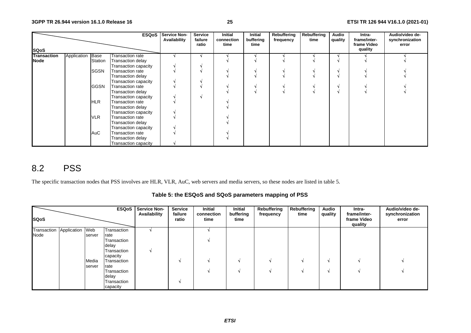|                    |             |             | <b>ESQoS</b>         | <b>Service Non-</b><br>Availability | <b>Service</b><br>failure<br>ratio | Initial<br>connection<br>time | Initial<br>buffering<br>time | Rebuffering<br>frequency | Rebuffering<br>time | Audio<br>quality | Intra-<br>frame/inter-<br>frame Video | Audio/video de-<br>synchronization<br>error |
|--------------------|-------------|-------------|----------------------|-------------------------------------|------------------------------------|-------------------------------|------------------------------|--------------------------|---------------------|------------------|---------------------------------------|---------------------------------------------|
| <b>SQoS</b>        |             |             |                      |                                     |                                    |                               |                              |                          |                     |                  | quality                               |                                             |
| <b>Transaction</b> | Application | <b>Base</b> | Transaction rate     |                                     |                                    |                               |                              |                          |                     |                  |                                       |                                             |
| <b>Node</b>        |             | Station     | Transaction delay    |                                     |                                    |                               |                              |                          |                     |                  |                                       |                                             |
|                    |             |             | Transaction capacity |                                     |                                    |                               |                              |                          |                     |                  |                                       |                                             |
|                    |             | <b>SGSN</b> | Transaction rate     |                                     |                                    |                               |                              |                          |                     |                  |                                       |                                             |
|                    |             |             | Transaction delay    |                                     |                                    |                               |                              |                          |                     |                  |                                       |                                             |
|                    |             |             | Transaction capacity |                                     |                                    |                               |                              |                          |                     |                  |                                       |                                             |
|                    |             | <b>GGSN</b> | Transaction rate     |                                     |                                    |                               |                              |                          |                     |                  |                                       |                                             |
|                    |             |             | Transaction delay    |                                     |                                    |                               |                              |                          |                     |                  |                                       |                                             |
|                    |             |             | Transaction capacity |                                     |                                    |                               |                              |                          |                     |                  |                                       |                                             |
|                    |             | HLR         | Transaction rate     |                                     |                                    |                               |                              |                          |                     |                  |                                       |                                             |
|                    |             |             | Transaction delay    |                                     |                                    |                               |                              |                          |                     |                  |                                       |                                             |
|                    |             |             | Transaction capacity |                                     |                                    |                               |                              |                          |                     |                  |                                       |                                             |
|                    |             | <b>VLR</b>  | Transaction rate     |                                     |                                    |                               |                              |                          |                     |                  |                                       |                                             |
|                    |             |             | Transaction delay    |                                     |                                    |                               |                              |                          |                     |                  |                                       |                                             |
|                    |             |             | Transaction capacity |                                     |                                    |                               |                              |                          |                     |                  |                                       |                                             |
|                    |             | <b>AuC</b>  | Transaction rate     |                                     |                                    |                               |                              |                          |                     |                  |                                       |                                             |
|                    |             |             | Transaction delay    |                                     |                                    |                               |                              |                          |                     |                  |                                       |                                             |
|                    |             |             | Transaction capacity |                                     |                                    |                               |                              |                          |                     |                  |                                       |                                             |

# 8.2 PSS

The specific transaction nodes that PSS involves are HLR, VLR, AuC, web servers and media servers, so these nodes are listed in table 5.

**Table 5: the ESQoS and SQoS parameters mapping of PSS** 

| <b>SQoS</b> |                 |                 |                                                                        | <b>ESQoS</b>   Service Non-<br>Availability | <b>Service</b><br>failure<br>ratio | <b>Initial</b><br>connection<br>time | Initial<br>buffering<br>time | Rebuffering<br>frequency | Rebuffering<br>time | <b>Audio</b><br>quality | Intra-<br>frame/inter-<br>frame Video<br>quality | Audio/video de-<br>synchronization<br>error |
|-------------|-----------------|-----------------|------------------------------------------------------------------------|---------------------------------------------|------------------------------------|--------------------------------------|------------------------------|--------------------------|---------------------|-------------------------|--------------------------------------------------|---------------------------------------------|
| Transaction | Application Web |                 | Transaction                                                            |                                             |                                    |                                      |                              |                          |                     |                         |                                                  |                                             |
| Node        |                 | server          | rate<br>Transaction<br>delay<br>Transaction<br>capacity                |                                             |                                    |                                      |                              |                          |                     |                         |                                                  |                                             |
|             |                 | Media<br>server | Transaction<br>rate<br>Transaction<br>delay<br>Transaction<br>capacity |                                             |                                    |                                      |                              |                          |                     |                         |                                                  |                                             |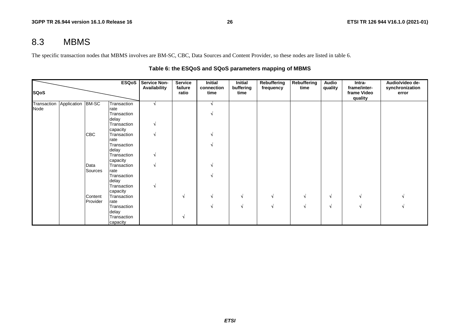# 8.3 MBMS

The specific transaction nodes that MBMS involves are BM-SC, CBC, Data Sources and Content Provider, so these nodes are listed in table 6.

|                     |                   |            | <b>ESQoS</b>            | <b>Service Non-</b><br>Availability | <b>Service</b><br>failure | Initial<br>connection | <b>Initial</b><br>buffering | Rebuffering<br>frequency | <b>Rebuffering</b><br>time | Audio<br>quality | Intra-<br>frame/inter- | Audio/video de-<br>synchronization |
|---------------------|-------------------|------------|-------------------------|-------------------------------------|---------------------------|-----------------------|-----------------------------|--------------------------|----------------------------|------------------|------------------------|------------------------------------|
| <b>SQoS</b>         |                   |            |                         |                                     | ratio                     | time                  | time                        |                          |                            |                  | frame Video<br>quality | error                              |
| Transaction<br>Node | Application BM-SC |            | Transaction<br>rate     |                                     |                           |                       |                             |                          |                            |                  |                        |                                    |
|                     |                   |            | Transaction<br>delay    |                                     |                           |                       |                             |                          |                            |                  |                        |                                    |
|                     |                   |            | Transaction<br>capacity |                                     |                           |                       |                             |                          |                            |                  |                        |                                    |
|                     |                   | <b>CBC</b> | Transaction             |                                     |                           |                       |                             |                          |                            |                  |                        |                                    |
|                     |                   |            | rate<br>Transaction     |                                     |                           |                       |                             |                          |                            |                  |                        |                                    |
|                     |                   |            | delay<br>Transaction    |                                     |                           |                       |                             |                          |                            |                  |                        |                                    |
|                     |                   | Data       | capacity<br>Transaction |                                     |                           |                       |                             |                          |                            |                  |                        |                                    |
|                     |                   | Sources    | rate<br>Transaction     |                                     |                           |                       |                             |                          |                            |                  |                        |                                    |
|                     |                   |            | delay<br>Transaction    |                                     |                           |                       |                             |                          |                            |                  |                        |                                    |
|                     |                   | Content    | capacity<br>Transaction |                                     | N                         |                       | N                           |                          | V                          | N                |                        |                                    |
|                     |                   | Provider   | rate<br>Transaction     |                                     |                           |                       | $\mathbf{v}$                |                          | N                          | N                |                        |                                    |
|                     |                   |            | delay<br>Transaction    |                                     | N                         |                       |                             |                          |                            |                  |                        |                                    |
|                     |                   |            | capacity                |                                     |                           |                       |                             |                          |                            |                  |                        |                                    |

## **Table 6: the ESQoS and SQoS parameters mapping of MBMS**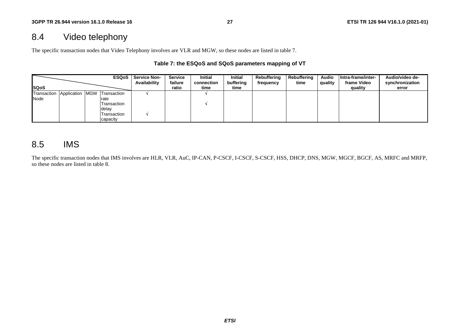# 8.4 Video telephony

The specific transaction nodes that Video Telephony involves are VLR and MGW, so these nodes are listed in table 7.

### **Table 7: the ESQoS and SQoS parameters mapping of VT**

|                                         |  |             | <b>ESQoS</b>   Service Non-<br>Availability | <b>Service</b><br>failure | <b>Initial</b><br>connection | <b>Initial</b><br>buffering | Rebuffering<br>frequency | Rebuffering<br>time | <b>Audio</b><br>quality | Intra-frame/inter-<br>frame Video | Audio/video de-<br>synchronization |
|-----------------------------------------|--|-------------|---------------------------------------------|---------------------------|------------------------------|-----------------------------|--------------------------|---------------------|-------------------------|-----------------------------------|------------------------------------|
| <b>ISQoS</b>                            |  |             |                                             | ratio                     | time                         | time                        |                          |                     |                         | quality                           | error                              |
| Transaction Application MGW Transaction |  |             |                                             |                           |                              |                             |                          |                     |                         |                                   |                                    |
| Node                                    |  | rate        |                                             |                           |                              |                             |                          |                     |                         |                                   |                                    |
|                                         |  | Transaction |                                             |                           |                              |                             |                          |                     |                         |                                   |                                    |
|                                         |  | delay       |                                             |                           |                              |                             |                          |                     |                         |                                   |                                    |
|                                         |  | Transaction |                                             |                           |                              |                             |                          |                     |                         |                                   |                                    |
|                                         |  | capacity    |                                             |                           |                              |                             |                          |                     |                         |                                   |                                    |

# 8.5 IMS

The specific transaction nodes that IMS involves are HLR, VLR, AuC, IP-CAN, P-CSCF, I-CSCF, S-CSCF, HSS, DHCP, DNS, MGW, MGCF, BGCF, AS, MRFC and MRFP, so these nodes are listed in table 8.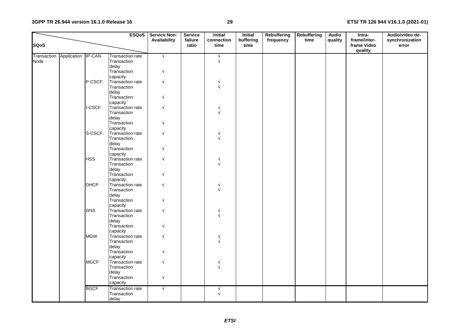### **3GPP TR 26.944 version 16.1.0 Release 16**

|             |                                |             | <b>ESQoS</b>            | Service Non-<br>Availability | <b>Service</b><br>failure | <b>Initial</b><br>connection | Initial<br>buffering | Rebuffering<br>frequency | <b>Rebuffering</b><br>time | <b>Audio</b><br>quality | Intra-<br>frame/inter- | Audio/video de-<br>synchronization |
|-------------|--------------------------------|-------------|-------------------------|------------------------------|---------------------------|------------------------------|----------------------|--------------------------|----------------------------|-------------------------|------------------------|------------------------------------|
| <b>SQoS</b> |                                |             |                         |                              | ratio                     | time                         | time                 |                          |                            |                         | frame Video<br>quality | error                              |
|             | Transaction Application IP-CAN |             | <b>Transaction rate</b> | $\sqrt{ }$                   |                           | $\sqrt{ }$                   |                      |                          |                            |                         |                        |                                    |
| Node        |                                |             | Transaction             |                              |                           | $\sqrt{ }$                   |                      |                          |                            |                         |                        |                                    |
|             |                                |             | delay                   |                              |                           |                              |                      |                          |                            |                         |                        |                                    |
|             |                                |             | Transaction             | $\sqrt{ }$                   |                           |                              |                      |                          |                            |                         |                        |                                    |
|             |                                |             | capacity                |                              |                           |                              |                      |                          |                            |                         |                        |                                    |
|             |                                | P-CSCF      | Transaction rate        | $\sqrt{ }$                   |                           | √                            |                      |                          |                            |                         |                        |                                    |
|             |                                |             | Transaction             |                              |                           | $\sqrt{ }$                   |                      |                          |                            |                         |                        |                                    |
|             |                                |             | delay                   |                              |                           |                              |                      |                          |                            |                         |                        |                                    |
|             |                                |             | Transaction             |                              |                           |                              |                      |                          |                            |                         |                        |                                    |
|             |                                |             | capacity                |                              |                           |                              |                      |                          |                            |                         |                        |                                    |
|             |                                | I-CSCF      | Transaction rate        |                              |                           |                              |                      |                          |                            |                         |                        |                                    |
|             |                                |             | Transaction             |                              |                           |                              |                      |                          |                            |                         |                        |                                    |
|             |                                |             | delay                   |                              |                           |                              |                      |                          |                            |                         |                        |                                    |
|             |                                |             | Transaction             |                              |                           |                              |                      |                          |                            |                         |                        |                                    |
|             |                                |             | capacity                |                              |                           |                              |                      |                          |                            |                         |                        |                                    |
|             |                                | S-CSCF      | Transaction rate        | V                            |                           | V                            |                      |                          |                            |                         |                        |                                    |
|             |                                |             | Transaction             |                              |                           |                              |                      |                          |                            |                         |                        |                                    |
|             |                                |             | delay                   |                              |                           |                              |                      |                          |                            |                         |                        |                                    |
|             |                                |             | Transaction             |                              |                           |                              |                      |                          |                            |                         |                        |                                    |
|             |                                |             | capacity                |                              |                           |                              |                      |                          |                            |                         |                        |                                    |
|             |                                | <b>HSS</b>  | Transaction rate        | V                            |                           |                              |                      |                          |                            |                         |                        |                                    |
|             |                                |             | Transaction             |                              |                           |                              |                      |                          |                            |                         |                        |                                    |
|             |                                |             | delay                   |                              |                           |                              |                      |                          |                            |                         |                        |                                    |
|             |                                |             | Transaction             | V                            |                           |                              |                      |                          |                            |                         |                        |                                    |
|             |                                |             | capacity                |                              |                           |                              |                      |                          |                            |                         |                        |                                    |
|             |                                | <b>DHCP</b> | Transaction rate        | √                            |                           | N.                           |                      |                          |                            |                         |                        |                                    |
|             |                                |             | Transaction             |                              |                           | $\sqrt{ }$                   |                      |                          |                            |                         |                        |                                    |
|             |                                |             | delay                   |                              |                           |                              |                      |                          |                            |                         |                        |                                    |
|             |                                |             | Transaction             | N                            |                           |                              |                      |                          |                            |                         |                        |                                    |
|             |                                |             | capacity                |                              |                           |                              |                      |                          |                            |                         |                        |                                    |
|             |                                | <b>DNS</b>  | Transaction rate        | V                            |                           |                              |                      |                          |                            |                         |                        |                                    |
|             |                                |             | Transaction             |                              |                           |                              |                      |                          |                            |                         |                        |                                    |
|             |                                |             | delay                   |                              |                           |                              |                      |                          |                            |                         |                        |                                    |
|             |                                |             | Transaction             | V                            |                           |                              |                      |                          |                            |                         |                        |                                    |
|             |                                |             | capacity                |                              |                           |                              |                      |                          |                            |                         |                        |                                    |
|             |                                | <b>MGW</b>  | Transaction rate        |                              |                           |                              |                      |                          |                            |                         |                        |                                    |
|             |                                |             | Transaction             |                              |                           |                              |                      |                          |                            |                         |                        |                                    |
|             |                                |             | delay                   |                              |                           |                              |                      |                          |                            |                         |                        |                                    |
|             |                                |             | Transaction             | V                            |                           |                              |                      |                          |                            |                         |                        |                                    |
|             |                                |             | capacity                |                              |                           |                              |                      |                          |                            |                         |                        |                                    |
|             |                                | <b>MGCF</b> | Transaction rate        | $\sqrt{}$                    |                           | $\sqrt{ }$                   |                      |                          |                            |                         |                        |                                    |
|             |                                |             | Transaction             |                              |                           |                              |                      |                          |                            |                         |                        |                                    |
|             |                                |             | delay                   |                              |                           |                              |                      |                          |                            |                         |                        |                                    |
|             |                                |             | Transaction             | $\sqrt{ }$                   |                           |                              |                      |                          |                            |                         |                        |                                    |
|             |                                |             | capacity                |                              |                           |                              |                      |                          |                            |                         |                        |                                    |
|             |                                | <b>BGCF</b> | <b>Transaction rate</b> | $\sqrt{ }$                   |                           | N                            |                      |                          |                            |                         |                        |                                    |
|             |                                |             | Transaction             |                              |                           |                              |                      |                          |                            |                         |                        |                                    |
|             |                                |             | delay                   |                              |                           |                              |                      |                          |                            |                         |                        |                                    |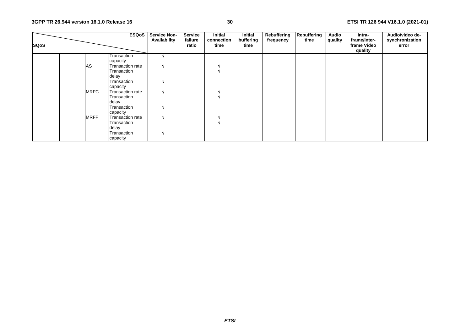| <b>SQoS</b> |             | <b>ESQoS</b>            | <b>Service Non-</b><br>Availability | <b>Service</b><br>failure<br>ratio | Initial<br>connection<br>time | Initial<br>buffering<br>time | Rebuffering<br>frequency | Rebuffering<br>time | Audio<br>quality | Intra-<br>frame/inter-<br>frame Video<br>quality | Audio/video de-<br>synchronization<br>error |
|-------------|-------------|-------------------------|-------------------------------------|------------------------------------|-------------------------------|------------------------------|--------------------------|---------------------|------------------|--------------------------------------------------|---------------------------------------------|
|             |             | Transaction             |                                     |                                    |                               |                              |                          |                     |                  |                                                  |                                             |
|             |             | capacity                |                                     |                                    |                               |                              |                          |                     |                  |                                                  |                                             |
|             | AS          | Transaction rate        |                                     |                                    |                               |                              |                          |                     |                  |                                                  |                                             |
|             |             | Transaction             |                                     |                                    |                               |                              |                          |                     |                  |                                                  |                                             |
|             |             | delay                   |                                     |                                    |                               |                              |                          |                     |                  |                                                  |                                             |
|             |             | Transaction<br>capacity |                                     |                                    |                               |                              |                          |                     |                  |                                                  |                                             |
|             | <b>MRFC</b> | <b>Transaction rate</b> |                                     |                                    |                               |                              |                          |                     |                  |                                                  |                                             |
|             |             | Transaction             |                                     |                                    |                               |                              |                          |                     |                  |                                                  |                                             |
|             |             | delay                   |                                     |                                    |                               |                              |                          |                     |                  |                                                  |                                             |
|             |             | Transaction             |                                     |                                    |                               |                              |                          |                     |                  |                                                  |                                             |
|             |             | capacity                |                                     |                                    |                               |                              |                          |                     |                  |                                                  |                                             |
|             | <b>MRFP</b> | Transaction rate        |                                     |                                    |                               |                              |                          |                     |                  |                                                  |                                             |
|             |             | Transaction             |                                     |                                    |                               |                              |                          |                     |                  |                                                  |                                             |
|             |             | delay                   |                                     |                                    |                               |                              |                          |                     |                  |                                                  |                                             |
|             |             | Transaction             |                                     |                                    |                               |                              |                          |                     |                  |                                                  |                                             |
|             |             | capacity                |                                     |                                    |                               |                              |                          |                     |                  |                                                  |                                             |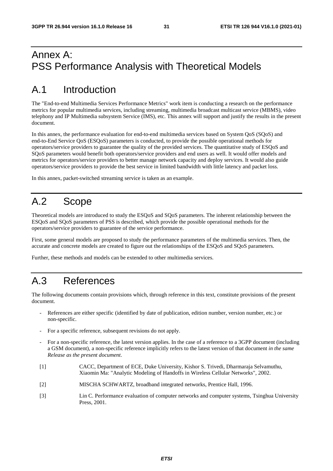# Annex A: PSS Performance Analysis with Theoretical Models

# A.1 Introduction

The "End-to-end Multimedia Services Performance Metrics" work item is conducting a research on the performance metrics for popular multimedia services, including streaming, multimedia broadcast multicast service (MBMS), video telephony and IP Multimedia subsystem Service (IMS), etc. This annex will support and justify the results in the present document.

In this annex, the performance evaluation for end-to-end multimedia services based on System QoS (SQoS) and end-to-End Service QoS (ESQoS) parameters is conducted, to provide the possible operational methods for operators/service providers to guarantee the quality of the provided services. The quantitative study of ESQoS and SQoS parameters would benefit both operators/service providers and end users as well. It would offer models and metrics for operators/service providers to better manage network capacity and deploy services. It would also guide operators/service providers to provide the best service in limited bandwidth with little latency and packet loss.

In this annex, packet-switched streaming service is taken as an example.

# A.2 Scope

Theoretical models are introduced to study the ESQoS and SQoS parameters. The inherent relationship between the ESQoS and SQoS parameters of PSS is described, which provide the possible operational methods for the operators/service providers to guarantee of the service performance.

First, some general models are proposed to study the performance parameters of the multimedia services. Then, the accurate and concrete models are created to figure out the relationships of the ESQoS and SQoS parameters.

Further, these methods and models can be extended to other multimedia services.

# A.3 References

The following documents contain provisions which, through reference in this text, constitute provisions of the present document.

- References are either specific (identified by date of publication, edition number, version number, etc.) or non-specific.
- For a specific reference, subsequent revisions do not apply.
- For a non-specific reference, the latest version applies. In the case of a reference to a 3GPP document (including a GSM document), a non-specific reference implicitly refers to the latest version of that document *in the same Release as the present document*.
- [1] CACC, Department of ECE, Duke University, Kishor S. Trivedi, Dharmaraja Selvamuthu, Xiaomin Ma: "Analytic Modeling of Handoffs in Wireless Cellular Networks", 2002.
- [2] MISCHA SCHWARTZ, broadband integrated networks, Prentice Hall, 1996.
- [3] Lin C. Performance evaluation of computer networks and computer systems, Tsinghua University Press, 2001.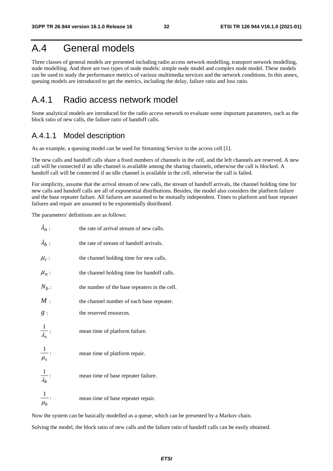# A.4 General models

Three classes of general models are presented including radio access network modelling, transport network modelling, node modelling. And there are two types of node models: simple node model and complex node model. These models can be used to study the performance metrics of various multimedia services and the network conditions. In this annex, queuing models are introduced to get the metrics, including the delay, failure ratio and loss ratio.

## A.4.1 Radio access network model

Some analytical models are introduced for the radio access network to evaluate some important parameters, such as the block ratio of new calls, the failure ratio of handoff calls.

## A.4.1.1 Model description

As an example, a queuing model can be used for Streaming Service in the access cell [1].

The new calls and handoff calls share a fixed numbers of channels in the cell, and the left channels are reserved. A new call will be connected if an idle channel is available among the sharing channels, otherwise the call is blocked. A handoff call will be connected if an idle channel is available in the cell, otherwise the call is failed.

For simplicity, assume that the arrival stream of new calls, the stream of handoff arrivals, the channel holding time for new calls and handoff calls are all of exponential distributions. Besides, the model also considers the platform failure and the base repeater failure. All failures are assumed to be mutually independent. Times to platform and base repeater failures and repair are assumed to be exponentially distributed.

The parameters' definitions are as follows:

| $\lambda_n$ :                 | the rate of arrival stream of new calls.      |
|-------------------------------|-----------------------------------------------|
| $\lambda_h$ :                 | the rate of stream of handoff arrivals.       |
| $\mu_c$ :                     | the channel holding time for new calls.       |
| $\mu_n$ :                     | the channel holding time for handoff calls.   |
| $N_b$ :                       | the number of the base repeaters in the cell. |
| M:                            | the channel number of each base repeater.     |
| g:                            | the reserved resources.                       |
| $\frac{1}{\lambda_s}$ :       | mean time of platform failure.                |
| $\frac{1}{\mu_s}$ :           | mean time of platform repair.                 |
| $\frac{1}{\lambda_b}$         | mean time of base repeater failure.           |
| $\vert$<br>$\overline{\mu_b}$ | mean time of base repeater repair.            |

Now the system can be basically modelled as a queue, which can be presented by a Markov chain.

Solving the model, the block ratio of new calls and the failure ratio of handoff calls can be easily obtained.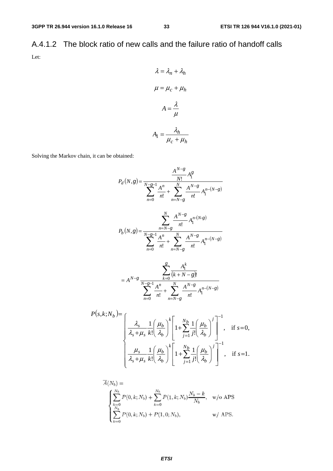A.4.1.2 The block ratio of new calls and the failure ratio of handoff calls Let:

$$
\lambda = \lambda_n + \lambda_h
$$

$$
\mu = \mu_c + \mu_h
$$

$$
A = \frac{\lambda}{\mu}
$$

$$
A_1 = \frac{\lambda_h}{\mu_c + \mu_h}
$$

Solving the Markov chain, it can be obtained:

$$
P_d(N,g) = \frac{\frac{A^{N-g}}{N!} A_1^g}{\sum_{n=0}^{N-g-1} \frac{A^n}{n!} + \sum_{n=N-g}^{N} \frac{A^{N-g}}{n!} A_1^{n-(N-g)}}
$$
  
\n
$$
P_b(N,g) = \frac{\sum_{n=N-g}^{N} \frac{A^{N-g}}{n!} A_1^{n-(N-g)}}{\sum_{n=0}^{N} \frac{A^n}{n!} + \sum_{n=N-g}^{N} \frac{A^{N-g}}{n!} A_1^{n-(N-g)}}
$$
  
\n
$$
= A^{N-g} \frac{\sum_{k=0}^{g} \frac{A_1^k}{(k+N-g)!}}{\sum_{n=0}^{N} \frac{A^n}{n!} + \sum_{n=N-g}^{N} \frac{A^{N-g}}{n!} A_1^{n-(N-g)}}
$$
  
\n
$$
P(s,k;N_b) = \frac{A_s}{\sum_{n=0}^{N} \frac{1}{n!} \left(\frac{\mu_b}{\lambda_b}\right)^k} \left[1 + \sum_{j=1}^{N_b} \frac{1}{j!} \left(\frac{\mu_b}{\lambda_b}\right)^j\right]^{-1}, \text{ if } s=0,
$$
  
\n
$$
\mu_a = 1 \left(\frac{\mu_b}{\mu_b}\right)^k \left[\frac{N_b}{N} \frac{1}{N} \left(\frac{\mu_b}{\mu_b}\right)^j\right]^{-1}
$$

$$
\left\{\frac{\mu_s}{\lambda_s+\mu_s}\frac{1}{k!}\left(\frac{\mu_b}{\lambda_b}\right)^k\left[1+\sum_{j=1}^{N_b}\frac{1}{j!}\left(\frac{\mu_b}{\lambda_b}\right)^j\right]^{-1},\text{ if } s=1.
$$

$$
A(N_b) =
$$
\n
$$
\begin{cases}\n\sum_{k=0}^{N_b} P(0, k; N_b) + \sum_{k=0}^{N_b} P(1, k; N_b) \frac{N_b - k}{N_b}, & w/o \text{ APS} \\
\sum_{k=0}^{N_b} P(0, k; N_b) + P(1, 0; N_b), & w/ \text{APS}.\n\end{cases}
$$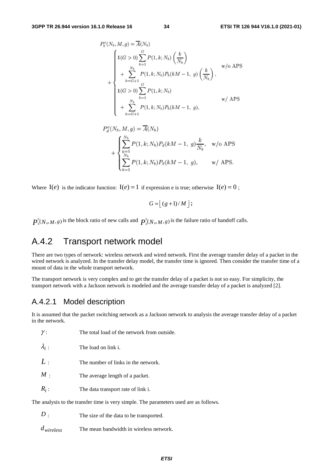$$
P_b^o(N_b, M, g) = \overline{A}(N_b)
$$
  
\n
$$
1(G > 0) \sum_{k=1}^{G} P(1, k; N_b) \left(\frac{k}{N_b}\right)
$$
  
\n
$$
+ \sum_{k=G+1}^{N_b} P(1, k; N_b) P_b(kM - 1, g) \left(\frac{k}{N_b}\right),
$$
  
\n
$$
1(G > 0) \sum_{k=1}^{G} P(1, k; N_b)
$$
  
\n
$$
+ \sum_{k=G+1}^{N_b} P(1, k; N_b) P_b(kM - 1, g),
$$
  
\n
$$
w / APS
$$

$$
P_d^o(N_b, M, g) = \overline{A}(N_b)
$$
  
+ 
$$
\begin{cases} \sum_{k=1}^{N_b} P(1, k; N_b) P_d(kM - 1, g) \frac{k}{N_b}, & \text{w/o APS} \\ \sum_{k=1}^{N_b} P(1, k; N_b) P_d(kM - 1, g), & \text{w/ APS.} \end{cases}
$$

Where  $I(e)$  is the indicator function:  $I(e) = 1$  if expression e is true; otherwise  $I(e) = 0$ ;

$$
G = \lfloor (g+1)/M \rfloor;
$$

0  $P_{\text{b}}^{0}(N_{\text{b}}, M, g)$  is the block ratio of new calls and  $P_{\text{d}}^{0}(N_{\text{b}}, M, g)$  is the failure ratio of handoff calls.

## A.4.2 Transport network model

There are two types of network: wireless network and wired network. First the average transfer delay of a packet in the wired network is analyzed. In the transfer delay model, the transfer time is ignored. Then consider the transfer time of a mount of data in the whole transport network.

The transport network is very complex and to get the transfer delay of a packet is not so easy. For simplicity, the transport network with a Jackson network is modeled and the average transfer delay of a packet is analyzed [2].

## A.4.2.1 Model description

It is assumed that the packet switching network as a Jackson network to analysis the average transfer delay of a packet in the network.

| $\gamma$ :    | The total load of the network from outside.                                           |
|---------------|---------------------------------------------------------------------------------------|
| $\lambda_i$ : | The load on link i.                                                                   |
| L:            | The number of links in the network.                                                   |
| $M$ .         | The average length of a packet.                                                       |
| $R_i$ :       | The data transport rate of link i.                                                    |
|               | The analysis to the transfer time is very simple. The parameters used are as follows. |

The size of the data to be transported. *D*

*dwireless* The mean bandwidth in wireless network.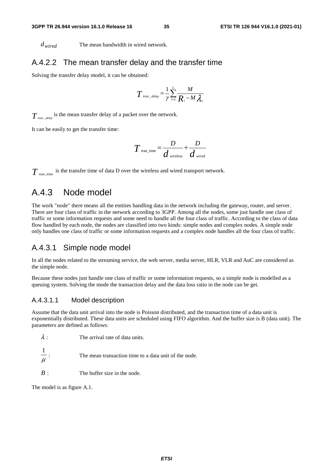*d<sub>wired</sub>* The mean bandwidth in wired network.

## A.4.2.2 The mean transfer delay and the transfer time

Solving the transfer delay model, it can be obtained:

$$
T_{\text{tran\_delay}} = \frac{1}{\gamma} \sum_{i=1}^{L} \frac{M}{R_i - M \lambda_i}
$$

 $T_{\text{tran\_delay}}$  is the mean transfer delay of a packet over the network.

It can be easily to get the transfer time:

$$
T_{\text{tran\_time}} = \frac{D}{d_{\text{wireless}}} + \frac{D}{d_{\text{wired}}}
$$

 $T_{\text{tran\_time}}$  is the transfer time of data D over the wireless and wired transport network.

## A.4.3 Node model

The work "node" there means all the entities handling data in the network including the gateway, router, and server. There are four class of traffic in the network according to 3GPP. Among all the nodes, some just handle one class of traffic or some information requests and some need to handle all the four class of traffic. According to the class of data flow handled by each node, the nodes are classified into two kinds: simple nodes and complex nodes. A simple node only handles one class of traffic or some information requests and a complex node handles all the four class of traffic.

### A.4.3.1 Simple node model

In all the nodes related to the streaming service, the web server, media server, HLR, VLR and AuC are considered as the simple node.

Because these nodes just handle one class of traffic or some information requests, so a simple node is modelled as a queuing system. Solving the mode the transaction delay and the data loss ratio in the node can be get.

### A.4.3.1.1 Model description

Assume that the data unit arrival into the node is Poisson distributed, and the transaction time of a data unit is exponentially distributed. These data units are scheduled using FIFO algorithm. And the buffer size is B (data unit). The parameters are defined as follows:

$$
\lambda
$$
: The arrival rate of data units.  

$$
\frac{1}{\lambda}
$$

- $\mu$ <sup>:</sup> The mean transaction time to a data unit of the node.
- *B* : The buffer size in the node.

The model is as figure A.1.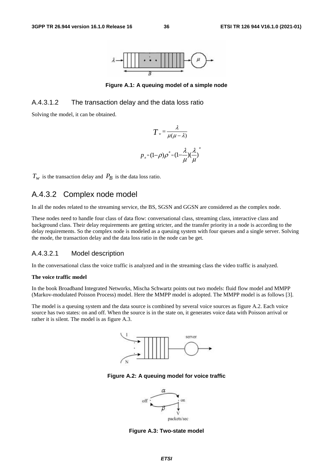

**Figure A.1: A queuing model of a simple node** 

### A.4.3.1.2 The transaction delay and the data loss ratio

Solving the model, it can be obtained.

$$
T = \frac{\lambda}{\mu(\mu - \lambda)}
$$

$$
p_{B} = (1 - \rho)\rho^{B} = (1 - \frac{\lambda}{\mu})(\frac{\lambda}{\mu})
$$

*B*

 $T_w$  is the transaction delay and  $P_B$  is the data loss ratio.

## A.4.3.2 Complex node model

In all the nodes related to the streaming service, the BS, SGSN and GGSN are considered as the complex node.

These nodes need to handle four class of data flow: conversational class, streaming class, interactive class and background class. Their delay requirements are getting stricter, and the transfer priority in a node is according to the delay requirements. So the complex node is modeled as a queuing system with four queues and a single server. Solving the mode, the transaction delay and the data loss ratio in the node can be get.

### A.4.3.2.1 Model description

In the conversational class the voice traffic is analyzed and in the streaming class the video traffic is analyzed.

#### **The voice traffic model**

In the book Broadband Integrated Networks, Mischa Schwartz points out two models: fluid flow model and MMPP (Markov-modulated Poisson Process) model. Here the MMPP model is adopted. The MMPP model is as follows [3].

The model is a queuing system and the data source is combined by several voice sources as figure A.2. Each voice source has two states: on and off. When the source is in the state on, it generates voice data with Poisson arrival or rather it is silent. The model is as figure A.3.



**Figure A.2: A queuing model for voice traffic** 



**Figure A.3: Two-state model**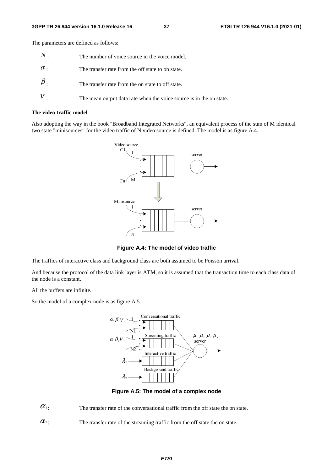The parameters are defined as follows:

| $N$ .      | The number of voice source in the voice model.                      |
|------------|---------------------------------------------------------------------|
| $\alpha$ . | The transfer rate from the off state to on state.                   |
| $\beta$ .  | The transfer rate from the on state to off state.                   |
|            | The mean output data rate when the voice source is in the on state. |

#### **The video traffic model**

Also adopting the way in the book "Broadband Integrated Networks", an equivalent process of the sum of M identical two state "minisources" for the video traffic of N video source is defined. The model is as figure A.4.



**Figure A.4: The model of video traffic** 

The traffics of interactive class and background class are both assumed to be Poisson arrival.

And because the protocol of the data link layer is ATM, so it is assumed that the transaction time to each class data of the node is a constant.

All the buffers are infinite.

So the model of a complex node is as figure A.5.



**Figure A.5: The model of a complex node** 

 $\alpha_1$ : The transfer rate of the conversational traffic from the off state the on state.

 $\alpha$ <sup>2</sup>: The transfer rate of the streaming traffic from the off state the on state.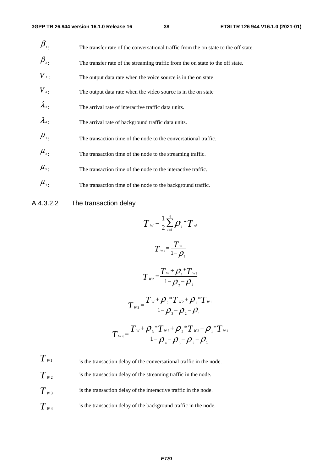| $\beta_{\shortparallel}$ .     | The transfer rate of the conversational traffic from the on state to the off state. |
|--------------------------------|-------------------------------------------------------------------------------------|
| $\beta_{\scriptscriptstyle 2}$ | The transfer rate of the streaming traffic from the on state to the off state.      |
| $V_{\perp}$                    | The output data rate when the voice source is in the on state                       |
| $V_{2}$ .                      | The output data rate when the video source is in the on state                       |
| $\lambda_{3}$                  | The arrival rate of interactive traffic data units.                                 |
| $\lambda_4$                    | The arrival rate of background traffic data units.                                  |
| $\mu_{\scriptscriptstyle 1}$ . | The transaction time of the node to the conversational traffic.                     |
| $\mu_{\scriptscriptstyle 2}$ . | The transaction time of the node to the streaming traffic.                          |
| $\mu_{\scriptscriptstyle 3}$ . | The transaction time of the node to the interactive traffic.                        |
| $\mu_{\scriptscriptstyle 4}$ . | The transaction time of the node to the background traffic.                         |

## A.4.3.2.2 The transaction delay

$$
T_{w} = \frac{1}{2} \sum_{i=1}^{4} \rho_{i} {}^{*}T_{si}
$$
\n
$$
T_{w1} = \frac{T_{w}}{1 - \rho_{1}}
$$
\n
$$
T_{w2} = \frac{T_{w} + \rho_{1} {}^{*}T_{w1}}{1 - \rho_{2} - \rho_{1}}
$$
\n
$$
T_{w3} = \frac{T_{w} + \rho_{2} {}^{*}T_{w2} + \rho_{1} {}^{*}T_{w1}}{1 - \rho_{3} - \rho_{2} - \rho_{1}}
$$
\n
$$
T_{w4} = \frac{T_{w} + \rho_{3} {}^{*}T_{w3} + \rho_{2} {}^{*}T_{w2} + \rho_{1} {}^{*}T_{w1}}{1 - \rho_{4} - \rho_{3} - \rho_{2} - \rho_{1}}
$$

 $T_{w1}$  is the transaction delay of the conversational traffic in the node.  $T_{w_2}$  is the transaction delay of the streaming traffic in the node.  $T_{w3}$  is the transaction delay of the interactive traffic in the node.  $T_{\text{W4}}$  is the transaction delay of the background traffic in the node.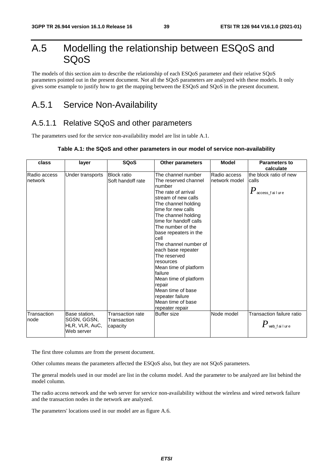# A.5 Modelling the relationship between ESQoS and SQoS

The models of this section aim to describe the relationship of each ESQoS parameter and their relative SQoS parameters pointed out in the present document. Not all the SQoS parameters are analyzed with these models. It only gives some example to justify how to get the mapping between the ESQoS and SQoS in the present document.

# A.5.1 Service Non-Availability

## A.5.1.1 Relative SQoS and other parameters

The parameters used for the service non-availability model are list in table A.1.

### **Table A.1: the SQoS and other parameters in our model of service non-availability**

| class                   | layer                                                        | <b>SQoS</b>                                 | <b>Other parameters</b>                                                                                                                                                                                                                                                                                                                                                                                                                                                                    | <b>Model</b>                  | <b>Parameters to</b><br>calculate                               |
|-------------------------|--------------------------------------------------------------|---------------------------------------------|--------------------------------------------------------------------------------------------------------------------------------------------------------------------------------------------------------------------------------------------------------------------------------------------------------------------------------------------------------------------------------------------------------------------------------------------------------------------------------------------|-------------------------------|-----------------------------------------------------------------|
| Radio access<br>network | Under transports                                             | <b>Block ratio</b><br>Soft handoff rate     | The channel number<br>The reserved channel<br>number<br>The rate of arrival<br>stream of new calls<br>The channel holding<br>time for new calls<br>The channel holding<br>time for handoff calls<br>The number of the<br>base repeaters in the<br>cell<br>The channel number of<br>each base repeater<br>The reserved<br>resources<br>Mean time of platform<br>failure<br>Mean time of platform<br>repair<br>Mean time of base<br>repeater failure<br>Mean time of base<br>repeater repair | Radio access<br>network model | the block ratio of new<br>calls<br>$P_{\,\rm access\_fail}$ ure |
| Transaction<br>node     | Base station,<br>SGSN, GGSN,<br>HLR, VLR, AuC,<br>Web server | Transaction rate<br>Transaction<br>capacity | <b>Buffer size</b>                                                                                                                                                                                                                                                                                                                                                                                                                                                                         | Node model                    | Transaction failure ratio<br>$\pmb{P}$ web_failure              |

The first three columns are from the present document.

Other columns means the parameters affected the ESQoS also, but they are not SQoS parameters.

The general models used in our model are list in the column model. And the parameter to be analyzed are list behind the model column.

The radio access network and the web server for service non-availability without the wireless and wired network failure and the transaction nodes in the network are analyzed.

The parameters' locations used in our model are as figure A.6.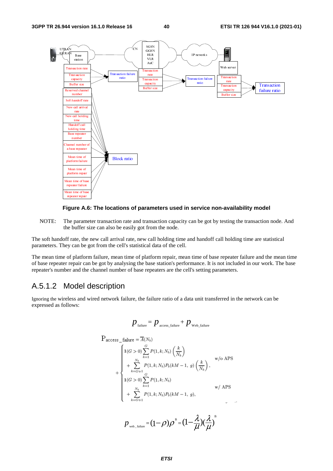



NOTE: The parameter transaction rate and transaction capacity can be got by testing the transaction node. And the buffer size can also be easily got from the node.

The soft handoff rate, the new call arrival rate, new call holding time and handoff call holding time are statistical parameters. They can be got from the cell's statistical data of the cell.

The mean time of platform failure, mean time of platform repair, mean time of base repeater failure and the mean time of base repeater repair can be got by analysing the base station's performance. It is not included in our work. The base repeater's number and the channel number of base repeaters are the cell's setting parameters.

## A.5.1.2 Model description

Ignoring the wireless and wired network failure, the failure ratio of a data unit transferred in the network can be expressed as follows:

$$
p_{\text{failure}} = p_{\text{access\_failure}} + p_{\text{web\_failure}}
$$

$$
P_{access\_failure} = \overline{A}(N_b)
$$
\n
$$
+ \begin{cases}\n1(G > 0) \sum_{k=1}^{G} P(1, k; N_b) \left(\frac{k}{N_b}\right) & \text{w/o APS} \\
+ \sum_{k=G+1}^{N_b} P(1, k; N_b) P_b(kM - 1, g) \left(\frac{k}{N_b}\right), & \text{w/o APS} \\
1(G > 0) \sum_{k=1}^{G} P(1, k; N_b) & \text{w/APS} \\
+ \sum_{k=G+1}^{N_b} P(1, k; N_b) P_b(kM - 1, g), & \n\end{cases}
$$

 $p_{_{\rm web\_failure}}\!=\!(\!-\!\rho)\rho^{\text{\tiny B}}\!=\!(\!1\!-\!\frac{\lambda}{\mu}\!){\!(\frac{\lambda}{\mu})}^{\text{\tiny B}}$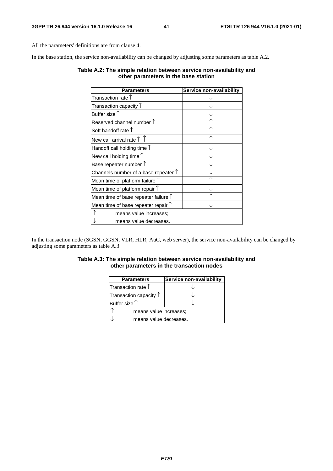All the parameters' definitions are from clause 4.

In the base station, the service non-availability can be changed by adjusting some parameters as table A.2.

### **Table A.2: The simple relation between service non-availability and other parameters in the base station**

| <b>Parameters</b>                             | Service non-availability |
|-----------------------------------------------|--------------------------|
| Transaction rate $\uparrow$                   |                          |
| Transaction capacity $\uparrow$               |                          |
| Buffer size $\uparrow$                        |                          |
| Reserved channel number $\uparrow$            |                          |
| Soft handoff rate $\uparrow$                  |                          |
| New call arrival rate $\uparrow \uparrow$     |                          |
| Handoff call holding time $\uparrow$          |                          |
| New call holding time $\uparrow$              |                          |
| Base repeater number $\uparrow$               |                          |
| Channels number of a base repeater $\uparrow$ |                          |
| Mean time of platform failure T               |                          |
| Mean time of platform repair $\uparrow$       |                          |
| Mean time of base repeater failure $\uparrow$ |                          |
| Mean time of base repeater repair $\uparrow$  |                          |
| means value increases;                        |                          |
| means value decreases.                        |                          |

In the transaction node (SGSN, GGSN, VLR, HLR, AuC, web server), the service non-availability can be changed by adjusting some parameters as table A.3.

### **Table A.3: The simple relation between service non-availability and other parameters in the transaction nodes**

| <b>Parameters</b>               | Service non-availability |  |
|---------------------------------|--------------------------|--|
| Transaction rate 1              |                          |  |
| Transaction capacity $\uparrow$ |                          |  |
| Buffer size $\uparrow$          |                          |  |
| means value increases:          |                          |  |
| means value decreases.          |                          |  |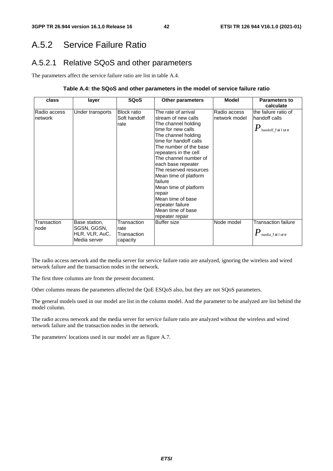# A.5.2 Service Failure Ratio

## A.5.2.1 Relative SQoS and other parameters

The parameters affect the service failure ratio are list in table A.4.

### **Table A.4: the SQoS and other parameters in the model of service failure ratio**

| class                   | layer                                                          | <b>SQoS</b>                                    | <b>Other parameters</b>                                                                                                                                                                                                                                                                                                                                                                                                      | <b>Model</b>                  | Parameters to<br>calculate                                                              |
|-------------------------|----------------------------------------------------------------|------------------------------------------------|------------------------------------------------------------------------------------------------------------------------------------------------------------------------------------------------------------------------------------------------------------------------------------------------------------------------------------------------------------------------------------------------------------------------------|-------------------------------|-----------------------------------------------------------------------------------------|
| Radio access<br>network | Under transports                                               | <b>Block ratio</b><br>Soft handoff<br>rate     | The rate of arrival<br>stream of new calls<br>The channel holding<br>time for new calls<br>The channel holding<br>time for handoff calls<br>The number of the base<br>repeaters in the cell<br>The channel number of<br>each base repeater<br>The reserved resources<br>Mean time of platform<br>failure<br>Mean time of platform<br>repair<br>Mean time of base<br>repeater failure<br>Mean time of base<br>repeater repair | Radio access<br>network model | the failure ratio of<br>handoff calls<br>$\boldsymbol{P}_{\text{handoff\_f}}$ ai I ur e |
| Transaction<br>node     | Base station,<br>SGSN, GGSN,<br>HLR, VLR, AuC,<br>Media server | Transaction<br>rate<br>Transaction<br>capacity | <b>Buffer size</b>                                                                                                                                                                                                                                                                                                                                                                                                           | Node model                    | <b>Transaction failure</b><br>$\boldsymbol{I}^{\boldsymbol{\prime}}$ media_failure      |

The radio access network and the media server for service failure ratio are analyzed, ignoring the wireless and wired network failure and the transaction nodes in the network.

The first three columns are from the present document.

Other columns means the parameters affected the QoE ESQoS also, but they are not SQoS parameters.

The general models used in our model are list in the column model. And the parameter to be analyzed are list behind the model column.

The radio access network and the media server for service failure ratio are analyzed without the wireless and wired network failure and the transaction nodes in the network.

The parameters' locations used in our model are as figure A.7.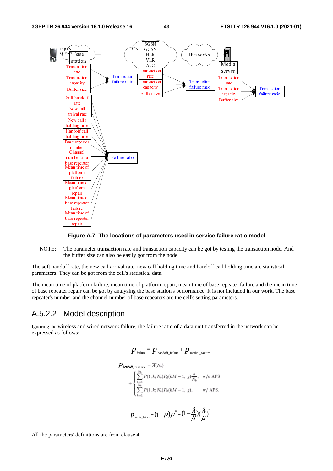

### **Figure A.7: The locations of parameters used in service failure ratio model**

NOTE: The parameter transaction rate and transaction capacity can be got by testing the transaction node. And the buffer size can also be easily got from the node.

The soft handoff rate, the new call arrival rate, new call holding time and handoff call holding time are statistical parameters. They can be got from the cell's statistical data.

The mean time of platform failure, mean time of platform repair, mean time of base repeater failure and the mean time of base repeater repair can be got by analysing the base station's performance. It is not included in our work. The base repeater's number and the channel number of base repeaters are the cell's setting parameters.

### A.5.2.2 Model description

Ignoring the wireless and wired network failure, the failure ratio of a data unit transferred in the network can be expressed as follows:

$$
p_{\text{failure}} = p_{\text{handoff\_failure}} + p_{\text{median\_failure}}
$$
\n
$$
P_{\text{handoff\_failure}} = \overline{A}(N_b)
$$
\n
$$
+ \begin{cases} \sum_{k=1}^{N_b} P(1, k; N_b) P_d(kM - 1, g) \frac{k}{N_b}, & \text{w/o APS.} \\ \sum_{k=1}^{N_b} P(1, k; N_b) P_d(kM - 1, g), & \text{w/APS.} \end{cases}
$$
\n
$$
p_{\text{median}} = (1 - \rho)\rho^B = (1 - \frac{\lambda}{\mu})(\frac{\lambda}{\mu})^B
$$

All the parameters' definitions are from clause 4.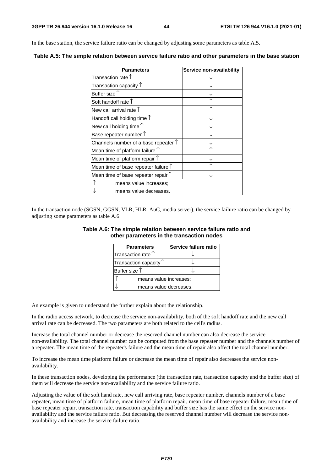In the base station, the service failure ratio can be changed by adjusting some parameters as table A.5.

| <b>Parameters</b>                             | Service non-availability |
|-----------------------------------------------|--------------------------|
| Transaction rate $\uparrow$                   |                          |
| Transaction capacity $\uparrow$               |                          |
| Buffer size $\uparrow$                        |                          |
| Soft handoff rate 1                           |                          |
| New call arrival rate $\uparrow$              |                          |
| Handoff call holding time $\uparrow$          |                          |
| New call holding time $\uparrow$              |                          |
| Base repeater number $\uparrow$               |                          |
| Channels number of a base repeater $\uparrow$ |                          |
| Mean time of platform failure $\uparrow$      |                          |
| Mean time of platform repair $\uparrow$       |                          |
| Mean time of base repeater failure $\uparrow$ |                          |
| Mean time of base repeater repair $\uparrow$  |                          |
| means value increases;                        |                          |
| means value decreases.                        |                          |

**Table A.5: The simple relation between service failure ratio and other parameters in the base station** 

In the transaction node (SGSN, GGSN, VLR, HLR, AuC, media server), the service failure ratio can be changed by adjusting some parameters as table A.6.

### **Table A.6: The simple relation between service failure ratio and other parameters in the transaction nodes**

| <b>Parameters</b>               | Service failure ratio |  |
|---------------------------------|-----------------------|--|
| Transaction rate $\uparrow$     |                       |  |
| Transaction capacity $\uparrow$ |                       |  |
| Buffer size 1                   |                       |  |
| means value increases;          |                       |  |
| means value decreases.          |                       |  |

An example is given to understand the further explain about the relationship.

In the radio access network, to decrease the service non-availability, both of the soft handoff rate and the new call arrival rate can be decreased. The two parameters are both related to the cell's radius.

Increase the total channel number or decrease the reserved channel number can also decrease the service non-availability. The total channel number can be computed from the base repeater number and the channels number of a repeater. The mean time of the repeater's failure and the mean time of repair also affect the total channel number.

To increase the mean time platform failure or decrease the mean time of repair also decreases the service nonavailability.

In these transaction nodes, developing the performance (the transaction rate, transaction capacity and the buffer size) of them will decrease the service non-availability and the service failure ratio.

Adjusting the value of the soft hand rate, new call arriving rate, base repeater number, channels number of a base repeater, mean time of platform failure, mean time of platform repair, mean time of base repeater failure, mean time of base repeater repair, transaction rate, transaction capability and buffer size has the same effect on the service nonavailability and the service failure ratio. But decreasing the reserved channel number will decrease the service nonavailability and increase the service failure ratio.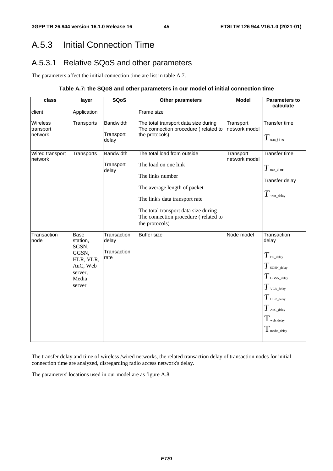# A.5.3 Initial Connection Time

# A.5.3.1 Relative SQoS and other parameters

The parameters affect the initial connection time are list in table A.7.

## **Table A.7: the SQoS and other parameters in our model of initial connection time**

| class                            | layer                                                                                     | <b>SQoS</b>                                 | Other parameters                                                                                                                                                                                                                            | <b>Model</b>               | <b>Parameters to</b><br>calculate                                                                                                                                              |
|----------------------------------|-------------------------------------------------------------------------------------------|---------------------------------------------|---------------------------------------------------------------------------------------------------------------------------------------------------------------------------------------------------------------------------------------------|----------------------------|--------------------------------------------------------------------------------------------------------------------------------------------------------------------------------|
| client                           | Application                                                                               |                                             | Frame size                                                                                                                                                                                                                                  |                            |                                                                                                                                                                                |
| Wireless<br>transport<br>network | Transports                                                                                | <b>Bandwidth</b><br>Transport<br>delay      | The total transport data size during<br>The connection procedure (related to<br>the protocols)                                                                                                                                              | Transport<br>network model | Transfer time<br>$T$ tran_t i me                                                                                                                                               |
| Wired transport<br>network       | Transports                                                                                | <b>Bandwidth</b><br>Transport<br>delay      | The total load from outside<br>The load on one link<br>The links number<br>The average length of packet<br>The link's data transport rate<br>The total transport data size during<br>The connection procedure (related to<br>the protocols) | Transport<br>network model | <b>Transfer time</b><br>$T$ tran time<br>Transfer delay<br>$T$ tran_delay                                                                                                      |
| Transaction<br>node              | Base<br>station,<br>SGSN,<br>GGSN,<br>HLR, VLR,<br>AuC, Web<br>server,<br>Media<br>server | Transaction<br>delay<br>Transaction<br>rate | <b>Buffer size</b>                                                                                                                                                                                                                          | Node model                 | Transaction<br>delay<br>$T$ BS_delay<br>$T$ sgsn_delay<br>$T$ GGSN_delay<br>$T$ vlr._delay<br>$T$ HLR_delay<br>$T$ AuC_delay<br>$T_{\rm web\_delay}$<br>$T_{\rm media\_delay}$ |

The transfer delay and time of wireless /wired networks, the related transaction delay of transaction nodes for initial connection time are analyzed, disregarding radio access network's delay.

The parameters' locations used in our model are as figure A.8.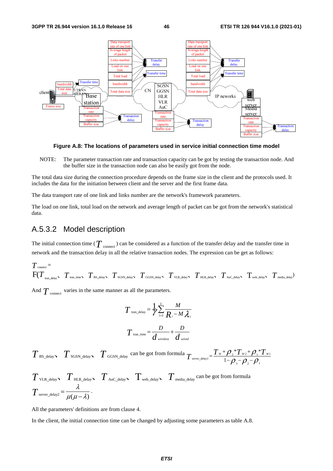

**Figure A.8: The locations of parameters used in service initial connection time model** 

NOTE: The parameter transaction rate and transaction capacity can be got by testing the transaction node. And the buffer size in the transaction node can also be easily got from the node.

The total data size during the connection procedure depends on the frame size in the client and the protocols used. It includes the data for the initiation between client and the server and the first frame data.

The data transport rate of one link and links number are the network's framework parameters.

The load on one link, total load on the network and average length of packet can be got from the network's statistical data.

## A.5.3.2 Model description

The initial connection time ( $T$  <sub>connect</sub>) can be considered as a function of the transfer delay and the transfer time in network and the transaction delay in all the relative transaction nodes. The expression can be get as follows:

$$
T_{\text{connect}} = \n\begin{bmatrix}\nT_{\text{connect}} & T_{\text{train\_time}} & T_{\text{BS\_delay}} & T_{\text{SGSN\_delay}} & T_{\text{GGSN\_delay}} & T_{\text{VLR\_delay}} & T_{\text{HL\_delay}} & T_{\text{Auc\_delay}} & T_{\text{web\_delay}} & T_{\text{modelay}}\n\end{bmatrix}
$$

And  $T_{\text{connect}}$  varies in the same manner as all the parameters.

$$
T_{\text{tran\_delay}} = \frac{1}{\gamma} \sum_{i=1}^{L} \frac{M}{R_i - M \lambda_i}
$$

$$
T_{\text{tran\_time}} = \frac{D}{d_{\text{wireless}}} + \frac{D}{d_{\text{wire}}}
$$

 $T$  BS\_delay  $T$  SGSN\_delay  $T$  GGSN\_delay can be got from formula  $T_{\text{server\_delay}} = \frac{T_w + \rho_z \cdot T_{wz} + \rho_1 \cdot T_{w1}}{1 - \rho_z \cdot \rho_z}$ 3  $\mathcal{V}$  2  $\mathcal{V}$  1  $T_{w_2}$ +  $Q_1$ <sup>\*</sup>  $T_{\text{server\_delay1}} = \frac{T_w + \rho_{2} * T_{w_2} + \rho_{1} * T_w}{1 - \rho_{2} - \rho_{2} - \rho_{1}}$ 

$$
T_{\text{VLR\_delay}} \sum_{\text{HLR\_delay}} T_{\text{Auc\_delay}} \sum_{\text{wcb\_delay}} T_{\text{median}} \sum_{\text{median}} \text{ can be got from formula}
$$
  

$$
T_{\text{server\_delay}} = \frac{\lambda}{\mu(\mu - \lambda)}.
$$

All the parameters' definitions are from clause 4.

In the client, the initial connection time can be changed by adjusting some parameters as table A.8.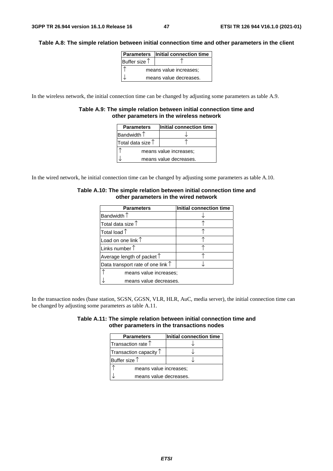### **Table A.8: The simple relation between initial connection time and other parameters in the client**

|                        | Parameters   Initial connection time |  |
|------------------------|--------------------------------------|--|
| Buffer size $†$        |                                      |  |
| means value increases; |                                      |  |
|                        | means value decreases.               |  |

In the wireless network, the initial connection time can be changed by adjusting some parameters as table A.9.

### **Table A.9: The simple relation between initial connection time and other parameters in the wireless network**

| <b>Parameters</b>          | Initial connection time |  |  |
|----------------------------|-------------------------|--|--|
| Bandwidth $\uparrow$       |                         |  |  |
| Total data size $\uparrow$ |                         |  |  |
| means value increases;     |                         |  |  |
|                            | means value decreases.  |  |  |

In the wired network, he initial connection time can be changed by adjusting some parameters as table A.10.

| <b>Parameters</b>                          | Initial connection time |  |
|--------------------------------------------|-------------------------|--|
| Bandwidth $\uparrow$                       |                         |  |
| Total data size $\uparrow$                 |                         |  |
| Total load $\uparrow$                      |                         |  |
| Load on one link $\uparrow$                |                         |  |
| Links number $\uparrow$                    |                         |  |
| Average length of packet $\uparrow$        |                         |  |
| Data transport rate of one link $\uparrow$ |                         |  |
| means value increases;                     |                         |  |
| means value decreases.                     |                         |  |

### **Table A.10: The simple relation between initial connection time and other parameters in the wired network**

In the transaction nodes (base station, SGSN, GGSN, VLR, HLR, AuC, media server), the initial connection time can be changed by adjusting some parameters as table A.11.

|                                            | Table A.11: The simple relation between initial connection time and |  |
|--------------------------------------------|---------------------------------------------------------------------|--|
| other parameters in the transactions nodes |                                                                     |  |

| <b>Parameters</b>               | Initial connection time |  |
|---------------------------------|-------------------------|--|
| Transaction rate $\uparrow$     |                         |  |
| Transaction capacity $\uparrow$ |                         |  |
| Buffer size $\uparrow$          |                         |  |
| means value increases;          |                         |  |
| means value decreases.          |                         |  |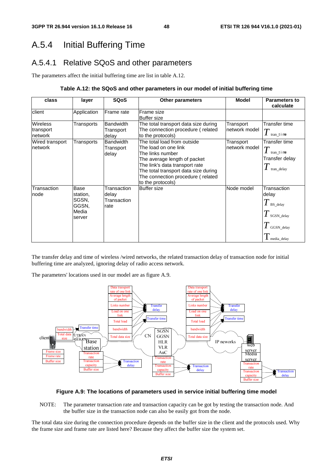# A.5.4 Initial Buffering Time

# A.5.4.1 Relative SQoS and other parameters

The parameters affect the initial buffering time are list in table A.12.

## **Table A.12: the SQoS and other parameters in our model of initial buffering time**

| class                                   | layer                                                 | <b>SQoS</b>                                 | <b>Other parameters</b>                                                                                                                                                                                                                     | <b>Model</b>               | <b>Parameters to</b><br>calculate                                                                                |
|-----------------------------------------|-------------------------------------------------------|---------------------------------------------|---------------------------------------------------------------------------------------------------------------------------------------------------------------------------------------------------------------------------------------------|----------------------------|------------------------------------------------------------------------------------------------------------------|
| client                                  | Application                                           | Frame rate                                  | Frame size<br><b>Buffer size</b>                                                                                                                                                                                                            |                            |                                                                                                                  |
| <b>Wireless</b><br>transport<br>network | Transports                                            | <b>Bandwidth</b><br>Transport<br>delay      | The total transport data size during<br>The connection procedure (related<br>to the protocols)                                                                                                                                              | Transport<br>network model | Transfer time<br>$T$ tran_t i me                                                                                 |
| Wired transport<br>network              | Transports                                            | Bandwidth<br>Transport<br>delay             | The total load from outside<br>The load on one link<br>The links number<br>The average length of packet<br>The link's data transport rate<br>The total transport data size during<br>The connection procedure (related<br>to the protocols) | Transport<br>network model | Transfer time<br>$T$ tran_t i me<br>Transfer delay<br>tran delay                                                 |
| Transaction<br>node                     | Base<br>station,<br>SGSN,<br>GGSN.<br>Media<br>server | Transaction<br>delay<br>Transaction<br>rate | <b>Buffer size</b>                                                                                                                                                                                                                          | Node model                 | Transaction<br>delay<br>$T$ BS_delay<br>$T$ SGSN_delay<br>$\boldsymbol{I}$ GGSN_delay<br>$\mathbf 1$ media_delay |

The transfer delay and time of wireless /wired networks, the related transaction delay of transaction node for initial buffering time are analyzed, ignoring delay of radio access network.

The parameters' locations used in our model are as figure A.9.



### **Figure A.9: The locations of parameters used in service initial buffering time model**

NOTE: The parameter transaction rate and transaction capacity can be got by testing the transaction node. And the buffer size in the transaction node can also be easily got from the node.

The total data size during the connection procedure depends on the buffer size in the client and the protocols used. Why the frame size and frame rate are listed here? Because they affect the buffer size the system set.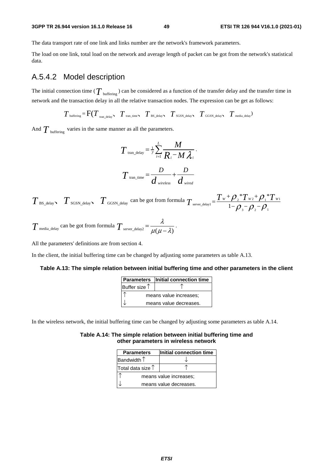The data transport rate of one link and links number are the network's framework parameters.

The load on one link, total load on the network and average length of packet can be got from the network's statistical data.

## A.5.4.2 Model description

The initial connection time ( $T_{\text{buffering}}$ ) can be considered as a function of the transfer delay and the transfer time in network and the transaction delay in all the relative transaction nodes. The expression can be get as follows:

$$
T_{\text{buffering}} = F(T_{\text{tran\_delay}}, T_{\text{tran\_time}}, T_{\text{BS\_delay}}, T_{\text{SGSN\_delay}}, T_{\text{GGSN\_delay}}, T_{\text{median}})
$$

And  $T_{\text{buffering}}$  varies in the same manner as all the parameters.

$$
T_{\text{tran\_delay}} = \frac{1}{\gamma} \sum_{i=1}^{L} \frac{M}{R_i - M \lambda_i}.
$$

$$
T_{\text{tran\_time}} = \frac{D}{d_{\text{wireless}}} + \frac{D}{d_{\text{wireed}}}
$$

 $T_{\text{BS\_delay}}$   $T_{\text{SGSN\_delay}}$   $T_{\text{GGSN\_delay}}$  can be got from formula  $T_{\text{server\_delay1}} = \frac{T_w + \rho_z T_{wz} + \rho_1 T_{w1}}{1 - \rho_z T_{w1}}$ 3  $\mu_2$   $\mu_1$  $*T_{w}$ + $\mathcal{O}.*$  $T_{\text{server\_delay1}} = \frac{T_w + \rho_z * T_{w_z} + \rho_x * T_w}{1 - \rho_z - \rho_z - \rho_z}$ 

$$
T_{\text{median\_delay}}
$$
 can be got from formula  $T_{\text{server\_delay2}} = \frac{\lambda}{\mu(\mu - \lambda)}$ .

All the parameters' definitions are from section 4.

In the client, the initial buffering time can be changed by adjusting some parameters as table A.13.

### **Table A.13: The simple relation between initial buffering time and other parameters in the client**

|                        | Parameters   Initial connection time |  |
|------------------------|--------------------------------------|--|
| Buffer size $\uparrow$ |                                      |  |
| means value increases; |                                      |  |
|                        | means value decreases.               |  |

In the wireless network, the initial buffering time can be changed by adjusting some parameters as table A.14.

### **Table A.14: The simple relation between initial buffering time and other parameters in wireless network**

| Initial connection time |  |  |  |  |
|-------------------------|--|--|--|--|
|                         |  |  |  |  |
|                         |  |  |  |  |
| means value increases;  |  |  |  |  |
| means value decreases.  |  |  |  |  |
|                         |  |  |  |  |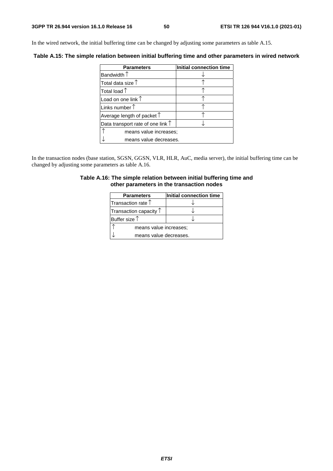In the wired network, the initial buffering time can be changed by adjusting some parameters as table A.15.

**Table A.15: The simple relation between initial buffering time and other parameters in wired network** 

| <b>Parameters</b>                          | Initial connection time |
|--------------------------------------------|-------------------------|
| Bandwidth $\uparrow$                       |                         |
| Total data size $\uparrow$                 |                         |
| Total load $\uparrow$                      |                         |
| Load on one link $\uparrow$                |                         |
| Links number $\uparrow$                    |                         |
| Average length of packet $\uparrow$        |                         |
| Data transport rate of one link $\uparrow$ |                         |
| means value increases;                     |                         |
| means value decreases.                     |                         |

In the transaction nodes (base station, SGSN, GGSN, VLR, HLR, AuC, media server), the initial buffering time can be changed by adjusting some parameters as table A.16.

### **Table A.16: The simple relation between initial buffering time and other parameters in the transaction nodes**

| <b>Parameters</b>               | Initial connection time |  |  |  |  |
|---------------------------------|-------------------------|--|--|--|--|
| Transaction rate $\uparrow$     |                         |  |  |  |  |
| Transaction capacity $\uparrow$ |                         |  |  |  |  |
| Buffer size $\uparrow$          |                         |  |  |  |  |
| means value increases;          |                         |  |  |  |  |
| means value decreases.          |                         |  |  |  |  |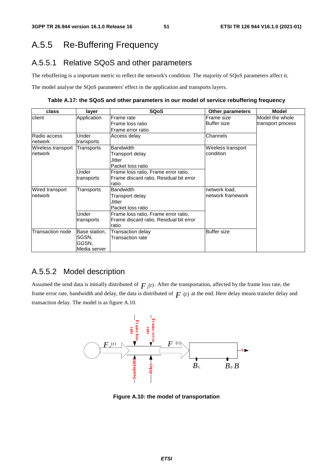# A.5.5 Re-Buffering Frequency

## A.5.5.1 Relative SQoS and other parameters

The rebuffering is a important metric to reflect the network's condition. The majority of SQoS parameters affect it.

The model analyse the SQoS parameters' effect in the application and transports layers.

**Table A.17: the SQoS and other parameters in our model of service rebuffering frequency** 

| class              | layer         | <b>SQoS</b>                             | <b>Other parameters</b> | <b>Model</b>      |
|--------------------|---------------|-----------------------------------------|-------------------------|-------------------|
| client             | Application   | lFrame rate                             | Frame size              | Model the whole   |
|                    |               | lFrame loss ratio                       | <b>Buffer size</b>      | transport process |
|                    |               | Frame error ratio                       |                         |                   |
| Radio access       | Under         | Access delay                            | Channels                |                   |
| network            | transports    |                                         |                         |                   |
| Wireless transport | Transports    | <b>Bandwidth</b>                        | Wireless transport      |                   |
| network            |               | Transport delay                         | condition               |                   |
|                    |               | Jitter                                  |                         |                   |
|                    |               | lPacket loss ratio                      |                         |                   |
|                    | Under         | Frame loss ratio, Frame error ratio,    |                         |                   |
|                    | transports    | Frame discard ratio, Residual bit error |                         |                   |
|                    |               | ratio                                   |                         |                   |
| Wired transport    | Transports    | <b>Bandwidth</b>                        |                         |                   |
| network            |               | Transport delay                         | network framework       |                   |
|                    |               | Jitter                                  |                         |                   |
|                    |               | lPacket loss ratio                      |                         |                   |
|                    | Under         | Frame loss ratio, Frame error ratio,    |                         |                   |
|                    | transports    | Frame discard ratio, Residual bit error |                         |                   |
|                    |               | ratio                                   |                         |                   |
| Transaction node   | Base station, | Transaction delay                       | <b>Buffer size</b>      |                   |
|                    | SGSN.         | <b>Transaction rate</b>                 |                         |                   |
|                    | GGSN.         |                                         |                         |                   |
|                    | Media server  |                                         |                         |                   |

## A.5.5.2 Model description

Assumed the send data is initially distributed of  $F_0(t)$ . After the transportation, affected by the frame loss rate, the frame error rate, bandwidth and delay, the data is distributed of  $F(t)$  at the end. Here delay means transfer delay and transaction delay. The model is as figure A.10.



**Figure A.10: the model of transportation**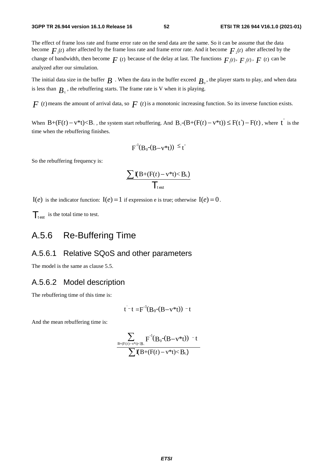The effect of frame loss rate and frame error rate on the send data are the same. So it can be assume that the data become  $F_{\mu}(t)$  after affected by the frame loss rate and frame error rate. And it become  $F_{\mu}(t)$  after affected by the change of bandwidth, then become  $F(t)$  because of the delay at last. The functions  $F_1(t)$ ,  $F_2(t)$ ,  $F(t)$  can be analyzed after our simulation.

The initial data size in the buffer  $B$  . When the data in the buffer exceed  $B_0$ , the player starts to play, and when data is less than  $B<sub>i</sub>$ , the rebuffering starts. The frame rate is V when it is playing.

 $F(t)$  means the amount of arrival data, so  $F(t)$  is a monotonic increasing function. So its inverse function exists.

When  $B+(F(t)-v^*t), the system start rebuffering. And  $B_\circ$ - $(B+(F(t)-v^*t))\leq F(t')-F(t)$ , where t is the$ time when the rebuffering finishes.

$$
F^{-1}(B_0-(B-v^*t)) \leq t
$$

So the rebuffering frequency is:

$$
\frac{\sum \mathbf{I}(B+(F(t)-v^*t)
$$

 $I(e)$  is the indicator function:  $I(e) = 1$  if expression e is true; otherwise  $I(e) = 0$ .

 $\mathcal{T}_{\text{test}}$  is the total time to test.

# A.5.6 Re-Buffering Time

## A.5.6.1 Relative SQoS and other parameters

The model is the same as clause 5.5.

## A.5.6.2 Model description

The rebuffering time of this time is:

$$
t^-t = F^{-1}(B_0-(B-v^*t)) - t
$$

And the mean rebuffering time is:

$$
\frac{\displaystyle\sum_{B+(F(t)-v^*t)
$$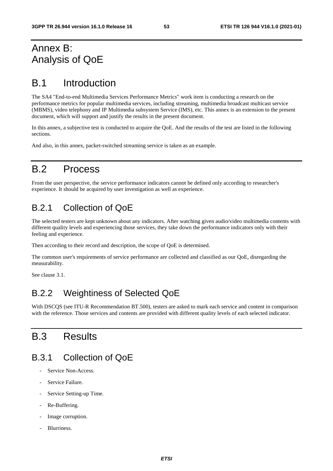# Annex B: Analysis of QoE

# B.1 Introduction

The SA4 "End-to-end Multimedia Services Performance Metrics" work item is conducting a research on the performance metrics for popular multimedia services, including streaming, multimedia broadcast multicast service (MBMS), video telephony and IP Multimedia subsystem Service (IMS), etc. This annex is an extension to the present document, which will support and justify the results in the present document.

In this annex, a subjective test is conducted to acquire the QoE. And the results of the test are listed in the following sections.

And also, in this annex, packet-switched streaming service is taken as an example.

# B.2 Process

From the user perspective, the service performance indicators cannot be defined only according to researcher's experience. It should be acquired by user investigation as well as experience.

# B.2.1 Collection of QoE

The selected testers are kept unknown about any indicators. After watching given audio/video multimedia contents with different quality levels and experiencing those services, they take down the performance indicators only with their feeling and experience.

Then according to their record and description, the scope of QoE is determined.

The common user's requirements of service performance are collected and classified as our QoE, disregarding the measurability.

See clause 3.1.

# B.2.2 Weightiness of Selected QoE

With DSCQS (see ITU-R Recommendation BT.500), testers are asked to mark each service and content in comparison with the reference. Those services and contents are provided with different quality levels of each selected indicator.

# B.3 Results

## B.3.1 Collection of QoE

- Service Non-Access.
- Service Failure.
- Service Setting-up Time.
- Re-Buffering.
- Image corruption.
- Blurriness.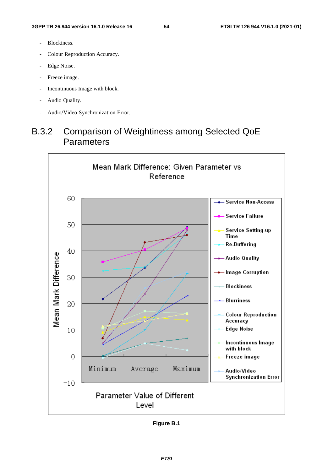- Blockiness.
- Colour Reproduction Accuracy.
- Edge Noise.
- Freeze image.
- Incontinuous Image with block.
- Audio Quality.
- Audio/Video Synchronization Error.

# B.3.2 Comparison of Weightiness among Selected QoE Parameters



**Figure B.1**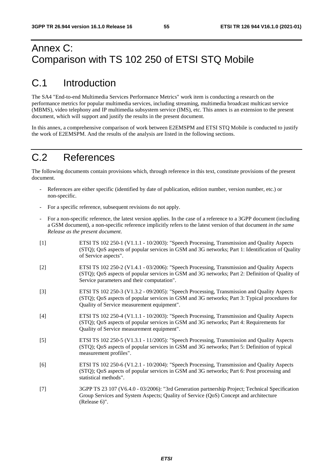# Annex C: Comparison with TS 102 250 of ETSI STQ Mobile

# C.1 Introduction

The SA4 "End-to-end Multimedia Services Performance Metrics" work item is conducting a research on the performance metrics for popular multimedia services, including streaming, multimedia broadcast multicast service (MBMS), video telephony and IP multimedia subsystem service (IMS), etc. This annex is an extension to the present document, which will support and justify the results in the present document.

In this annex, a comprehensive comparison of work between E2EMSPM and ETSI STQ Mobile is conducted to justify the work of E2EMSPM. And the results of the analysis are listed in the following sections.

# C.2 References

The following documents contain provisions which, through reference in this text, constitute provisions of the present document.

- References are either specific (identified by date of publication, edition number, version number, etc.) or non-specific.
- For a specific reference, subsequent revisions do not apply.
- For a non-specific reference, the latest version applies. In the case of a reference to a 3GPP document (including a GSM document), a non-specific reference implicitly refers to the latest version of that document *in the same Release as the present document*.
- [1] ETSI TS 102 250-1 (V1.1.1 10/2003): "Speech Processing, Transmission and Quality Aspects (STQ); QoS aspects of popular services in GSM and 3G networks; Part 1: Identification of Quality of Service aspects".
- [2] ETSI TS 102 250-2 (V1.4.1 03/2006): "Speech Processing, Transmission and Quality Aspects (STQ); QoS aspects of popular services in GSM and 3G networks; Part 2: Definition of Quality of Service parameters and their computation".
- [3] ETSI TS 102 250-3 (V1.3.2 09/2005): "Speech Processing, Transmission and Quality Aspects (STQ); QoS aspects of popular services in GSM and 3G networks; Part 3: Typical procedures for Quality of Service measurement equipment".
- [4] ETSI TS 102 250-4 (V1.1.1 10/2003): "Speech Processing, Transmission and Quality Aspects (STQ); QoS aspects of popular services in GSM and 3G networks; Part 4: Requirements for Quality of Service measurement equipment".
- [5] ETSI TS 102 250-5 (V1.3.1 11/2005): "Speech Processing, Transmission and Quality Aspects (STQ); QoS aspects of popular services in GSM and 3G networks; Part 5: Definition of typical measurement profiles".
- [6] ETSI TS 102 250-6 (V1.2.1 10/2004): "Speech Processing, Transmission and Quality Aspects (STQ); QoS aspects of popular services in GSM and 3G networks; Part 6: Post processing and statistical methods".
- [7] 3GPP TS 23 107 (V6.4.0 03/2006): "3rd Generation partnership Project; Technical Specification Group Services and System Aspects; Quality of Service (QoS) Concept and architecture (Release 6)".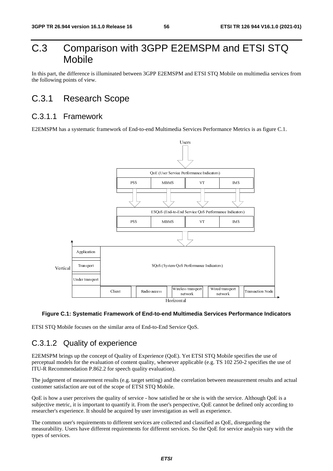# C.3 Comparison with 3GPP E2EMSPM and ETSI STQ Mobile

In this part, the difference is illuminated between 3GPP E2EMSPM and ETSI STQ Mobile on multimedia services from the following points of view.

# C.3.1 Research Scope

## C.3.1.1 Framework

E2EMSPM has a systematic framework of End-to-end Multimedia Services Performance Metrics is as figure C.1.



### **Figure C.1: Systematic Framework of End-to-end Multimedia Services Performance Indicators**

ETSI STQ Mobile focuses on the similar area of End-to-End Service QoS.

## C.3.1.2 Quality of experience

E2EMSPM brings up the concept of Quality of Experience (QoE). Yet ETSI STQ Mobile specifies the use of perceptual models for the evaluation of content quality, whenever applicable (e.g. TS 102 250-2 specifies the use of ITU-R Recommendation P.862.2 for speech quality evaluation).

The judgement of measurement results (e.g. target setting) and the correlation between measurement results and actual customer satisfaction are out of the scope of ETSI STQ Mobile.

QoE is how a user perceives the quality of service - how satisfied he or she is with the service. Although QoE is a subjective metric, it is important to quantify it. From the user's perspective, QoE cannot be defined only according to researcher's experience. It should be acquired by user investigation as well as experience.

The common user's requirements to different services are collected and classified as QoE, disregarding the measurability. Users have different requirements for different services. So the QoE for service analysis vary with the types of services.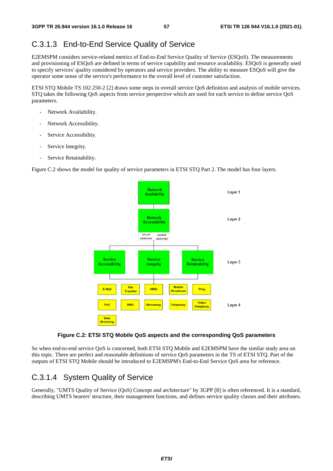## C.3.1.3 End-to-End Service Quality of Service

E2EMSPM considers service-related metrics of End-to-End Service Quality of Service (ESQoS). The measurements and provisioning of ESQoS are defined in terms of service capability and resource availability. ESQoS is generally used to specify services' quality considered by operators and service providers. The ability to measure ESQoS will give the operator some sense of the service's performance to the overall level of customer satisfaction.

ETSI STQ Mobile TS 102 250-2 [2] draws some steps in overall service QoS definition and analysis of mobile services. STQ takes the following QoS aspects from service perspective which are used for each service to define service QoS parameters.

- Network Availability.
- Network Accessibility.
- Service Accessibility.
- Service Integrity.
- Service Retainability.

Figure C.2 shows the model for quality of service parameters in ETSI STO Part 2. The model has four layers.



### **Figure C.2: ETSI STQ Mobile QoS aspects and the corresponding QoS parameters**

So when end-to-end service OoS is concerned, both ETSI STO Mobile and E2EMSPM have the similar study area on this topic. There are perfect and reasonable definitions of service QoS parameters in the TS of ETSI STQ. Part of the outputs of ETSI STQ Mobile should be introduced to E2EMSPM's End-to-End Service QoS area for reference.

## C.3.1.4 System Quality of Service

Generally, "UMTS Quality of Service (QoS) Concept and architecture" by 3GPP [8] is often referenced. It is a standard, describing UMTS bearers' structure, their management functions, and defines service quality classes and their attributes.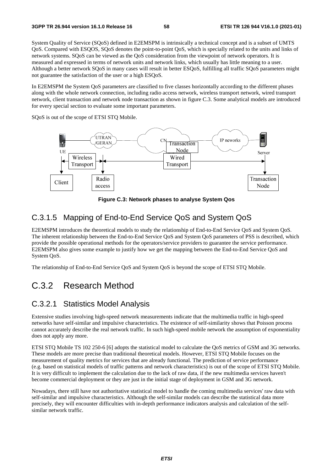System Quality of Service (SQoS) defined in E2EMSPM is intrinsically a technical concept and is a subset of UMTS QoS. Compared with ESQOS, SQoS denotes the point-to-point QoS, which is specially related to the units and links of network systems. SQoS can be viewed as the QoS consideration from the viewpoint of network operators. It is measured and expressed in terms of network units and network links, which usually has little meaning to a user. Although a better network SQoS in many cases will result in better ESQoS, fulfilling all traffic SQoS parameters might not guarantee the satisfaction of the user or a high ESQoS.

In E2EMSPM the System QoS parameters are classified to five classes horizontally according to the different phases along with the whole network connection, including radio access network, wireless transport network, wired transport network, client transaction and network node transaction as shown in figure C.3. Some analytical models are introduced for every special section to evaluate some important parameters.

SQoS is out of the scope of ETSI STQ Mobile.



**Figure C.3: Network phases to analyse System Qos** 

## C.3.1.5 Mapping of End-to-End Service QoS and System QoS

E2EMSPM introduces the theoretical models to study the relationship of End-to-End Service QoS and System QoS. The inherent relationship between the End-to-End Service QoS and System QoS parameters of PSS is described, which provide the possible operational methods for the operators/service providers to guarantee the service performance. E2EMSPM also gives some example to justify how we get the mapping between the End-to-End Service QoS and System QoS.

The relationship of End-to-End Service QoS and System QoS is beyond the scope of ETSI STQ Mobile.

# C.3.2 Research Method

## C.3.2.1 Statistics Model Analysis

Extensive studies involving high-speed network measurements indicate that the multimedia traffic in high-speed networks have self-similar and impulsive characteristics. The existence of self-similarity shows that Poisson process cannot accurately describe the real network traffic. In such high-speed mobile network the assumption of exponentiality does not apply any more.

ETSI STQ Mobile TS 102 250-6 [6] adopts the statistical model to calculate the QoS metrics of GSM and 3G networks. These models are more precise than traditional theoretical models. However, ETSI STQ Mobile focuses on the measurement of quality metrics for services that are already functional. The prediction of service performance (e.g. based on statistical models of traffic patterns and network characteristics) is out of the scope of ETSI STQ Mobile. It is very difficult to implement the calculation due to the lack of raw data, if the new multimedia services haven't become commercial deployment or they are just in the initial stage of deployment in GSM and 3G network.

Nowadays, there still have not authoritative statistical model to handle the coming multimedia services' raw data with self-similar and impulsive characteristics. Although the self-similar models can describe the statistical data more precisely, they will encounter difficulties with in-depth performance indicators analysis and calculation of the selfsimilar network traffic.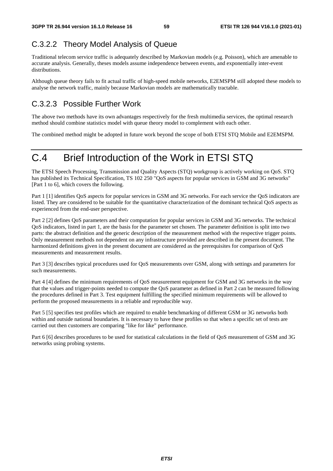# C.3.2.2 Theory Model Analysis of Queue

Traditional telecom service traffic is adequately described by Markovian models (e.g. Poisson), which are amenable to accurate analysis. Generally, theses models assume independence between events, and exponentially inter-event distributions.

Although queue theory fails to fit actual traffic of high-speed mobile networks, E2EMSPM still adopted these models to analyse the network traffic, mainly because Markovian models are mathematically tractable.

# C.3.2.3 Possible Further Work

The above two methods have its own advantages respectively for the fresh multimedia services, the optimal research method should combine statistics model with queue theory model to complement with each other.

The combined method might be adopted in future work beyond the scope of both ETSI STQ Mobile and E2EMSPM.

# C.4 Brief Introduction of the Work in ETSI STQ

The ETSI Speech Processing, Transmission and Quality Aspects (STQ) workgroup is actively working on QoS. STQ has published its Technical Specification, TS 102 250 "QoS aspects for popular services in GSM and 3G networks" [Part 1 to 6], which covers the following.

Part 1 [1] identifies QoS aspects for popular services in GSM and 3G networks. For each service the QoS indicators are listed. They are considered to be suitable for the quantitative characterization of the dominant technical QoS aspects as experienced from the end-user perspective.

Part 2 [2] defines QoS parameters and their computation for popular services in GSM and 3G networks. The technical QoS indicators, listed in part 1, are the basis for the parameter set chosen. The parameter definition is split into two parts: the abstract definition and the generic description of the measurement method with the respective trigger points. Only measurement methods not dependent on any infrastructure provided are described in the present document. The harmonized definitions given in the present document are considered as the prerequisites for comparison of QoS measurements and measurement results.

Part 3 [3] describes typical procedures used for QoS measurements over GSM, along with settings and parameters for such measurements.

Part 4 [4] defines the minimum requirements of QoS measurement equipment for GSM and 3G networks in the way that the values and trigger-points needed to compute the QoS parameter as defined in Part 2 can be measured following the procedures defined in Part 3. Test equipment fulfilling the specified minimum requirements will be allowed to perform the proposed measurements in a reliable and reproducible way.

Part 5 [5] specifies test profiles which are required to enable benchmarking of different GSM or 3G networks both within and outside national boundaries. It is necessary to have these profiles so that when a specific set of tests are carried out then customers are comparing "like for like" performance.

Part 6 [6] describes procedures to be used for statistical calculations in the field of QoS measurement of GSM and 3G networks using probing systems.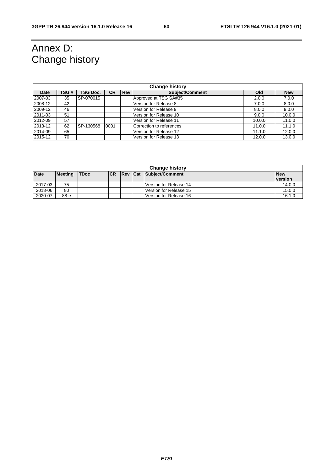# Annex D: Change history

| <b>Change history</b> |      |                 |      |            |                          |        |            |
|-----------------------|------|-----------------|------|------------|--------------------------|--------|------------|
| <b>Date</b>           | TSG# | <b>TSG Doc.</b> | СR   | <b>Rev</b> | <b>Subject/Comment</b>   | Old    | <b>New</b> |
| 2007-03               | 35   | SP-070015       |      |            | Approved at TSG SA#35    | 2.0.0  | 7.0.0      |
| 2008-12               | 42   |                 |      |            | Version for Release 8    | 7.0.0  | 8.0.0      |
| 2009-12               | 46   |                 |      |            | Version for Release 9    | 8.0.0  | 9.0.0      |
| 2011-03               | 51   |                 |      |            | Version for Release 10   | 9.0.0  | 10.0.0     |
| 2012-09               | 57   |                 |      |            | Version for Release 11   | 10.0.0 | 11.0.0     |
| 2013-12               | 62   | SP-130568       | 0001 |            | Correction to references | 11.0.0 | 11.1.0     |
| 2014-09               | 65   |                 |      |            | Version for Release 12   | 11.1.0 | 12.0.0     |
| 2015-12               | 70   |                 |      |            | Version for Release 13   | 12.0.0 | 13.0.0     |

| <b>Change history</b> |                |              |           |         |  |                          |                |
|-----------------------|----------------|--------------|-----------|---------|--|--------------------------|----------------|
| <b>Date</b>           | <b>Meeting</b> | <b>ITDoc</b> | <b>CR</b> | Rev Cat |  | Subject/Comment          | <b>New</b>     |
|                       |                |              |           |         |  |                          | <b>version</b> |
| 2017-03               | 75             |              |           |         |  | Version for Release 14   | 14.0.0         |
| 2018-06               | 80             |              |           |         |  | l Version for Release 15 | 15.0.0         |
| 2020-07               | 88-е           |              |           |         |  | Version for Release 16   | 16.1.0         |